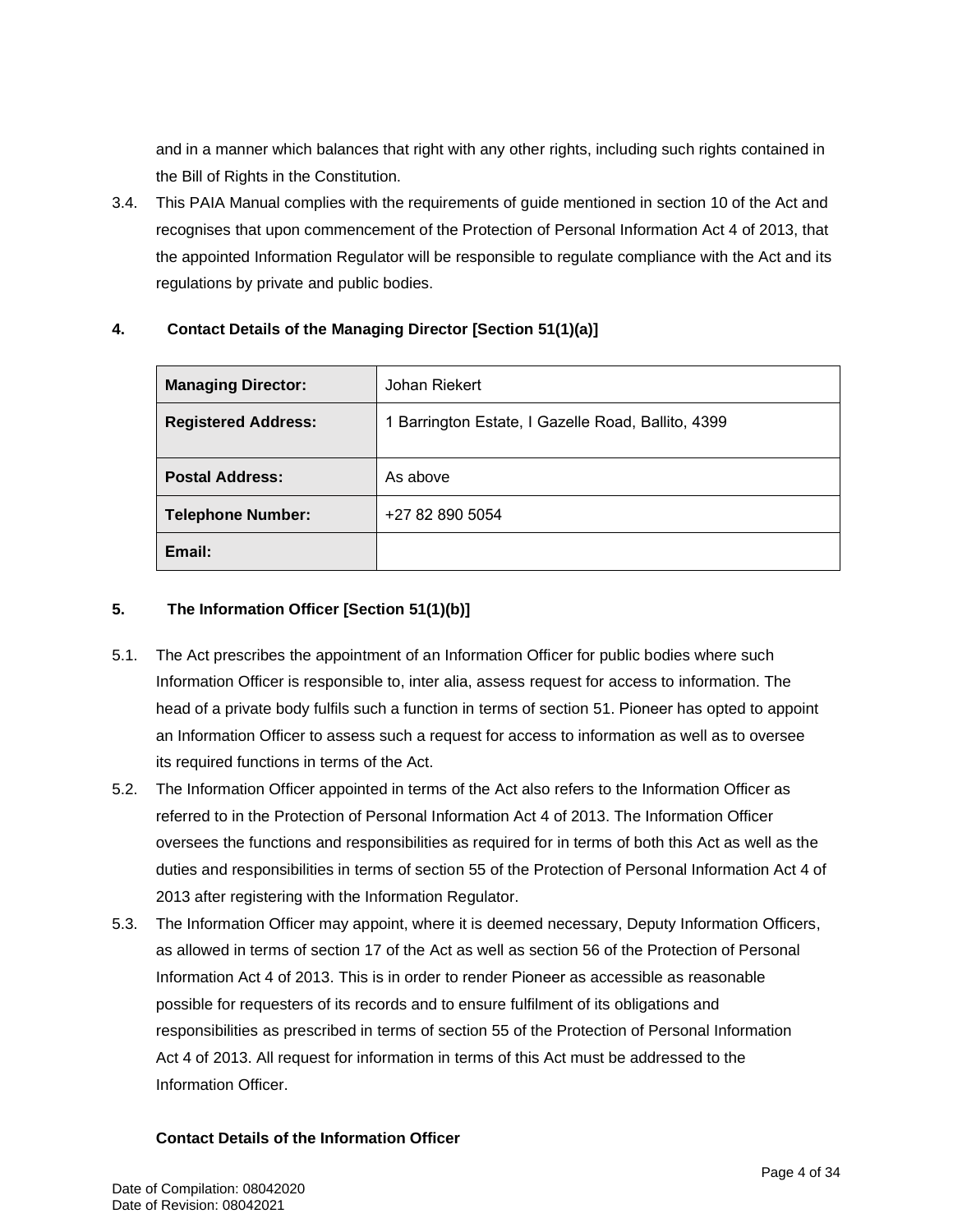and in a manner which balances that right with any other rights, including such rights contained in the Bill of Rights in the Constitution.

3.4. This PAIA Manual complies with the requirements of guide mentioned in section 10 of the Act and recognises that upon commencement of the Protection of Personal Information Act 4 of 2013, that the appointed Information Regulator will be responsible to regulate compliance with the Act and its regulations by private and public bodies.

| <b>Managing DirectorV:</b> | Marius Mostert and Edwin Dunn                    |
|----------------------------|--------------------------------------------------|
| <b>Registered Address:</b> | Pioneer House, 83 Monty Naicker Rd, Durban, 4001 |
| <b>Postal Address:</b>     | As above                                         |
| <b>Telephone Number:</b>   | +27 31 001 4129                                  |
| Email:                     |                                                  |

### **4. Contact Details of the Managing Director [Section 51(1)(a)]**

#### **5. The Information Officer [Section 51(1)(b)]**

- 5.1. The Act prescribes the appointment of an Information Officer for public bodies where such Information Officer is responsible to, inter alia, assess request for access to information. The head of a private body fulfils such a function in terms of section 51. Pioneer has opted to appoint an Information Officer to assess such a request for access to information as well as to oversee its required functions in terms of the Act.
- 5.2. The Information Officer appointed in terms of the Act also refers to the Information Officer as referred to in the Protection of Personal Information Act 4 of 2013. The Information Officer oversees the functions and responsibilities as required for in terms of both this Act as well as the duties and responsibilities in terms of section 55 of the Protection of Personal Information Act 4 of 2013 after registering with the Information Regulator.
- 5.3. The Information Officer may appoint, where it is deemed necessary, Deputy Information Officers, as allowed in terms of section 17 of the Act as well as section 56 of the Protection of Personal Information Act 4 of 2013. This is in order to render Pioneer as accessible as reasonable possible for requesters of its records and to ensure fulfilment of its obligations and responsibilities as prescribed in terms of section 55 of the Protection of Personal Information Act 4 of 2013. All request for information in terms of this Act must be addressed to the Information Officer.

#### **Contact Details of the Information Officer**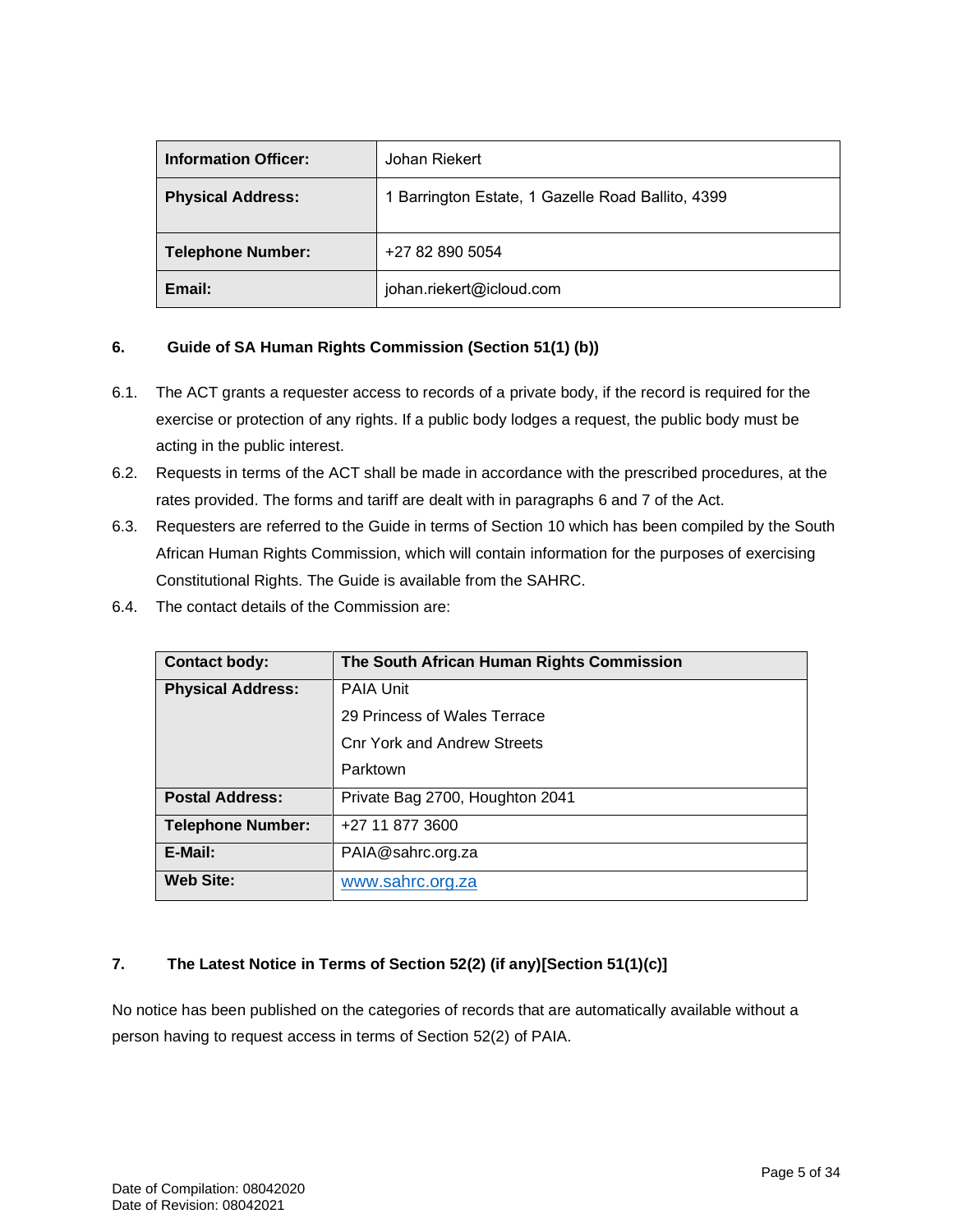| <b>Information Officer:</b> | Johan Riekert                                     |
|-----------------------------|---------------------------------------------------|
| <b>Physical Address:</b>    | 1 Barrington Estate, 1 Gazelle Road Ballito, 4399 |
| <b>Telephone Number:</b>    | +27 82 890 5054                                   |
| Email:                      | johan.riekert@icloud.com                          |

### **6. Guide of SA Human Rights Commission (Section 51(1) (b))**

- 6.1. The ACT grants a requester access to records of a private body, if the record is required for the exercise or protection of any rights. If a public body lodges a request, the public body must be acting in the public interest.
- 6.2. Requests in terms of the ACT shall be made in accordance with the prescribed procedures, at the rates provided. The forms and tariff are dealt with in paragraphs 6 and 7 of the Act.
- 6.3. Requesters are referred to the Guide in terms of Section 10 which has been compiled by the South African Human Rights Commission, which will contain information for the purposes of exercising Constitutional Rights. The Guide is available from the SAHRC.
- 6.4. The contact details of the Commission are:

| <b>Contact body:</b>     | The South African Human Rights Commission |
|--------------------------|-------------------------------------------|
| <b>Physical Address:</b> | <b>PAIA Unit</b>                          |
|                          | 29 Princess of Wales Terrace              |
|                          | <b>Cnr York and Andrew Streets</b>        |
|                          | Parktown                                  |
| <b>Postal Address:</b>   | Private Bag 2700, Houghton 2041           |
| <b>Telephone Number:</b> | +27 11 877 3600                           |
| E-Mail:                  | PAIA@sahrc.org.za                         |
| <b>Web Site:</b>         | www.sahrc.org.za                          |

#### **7. The Latest Notice in Terms of Section 52(2) (if any)[Section 51(1)(c)]**

No notice has been published on the categories of records that are automatically available without a person having to request access in terms of Section 52(2) of PAIA.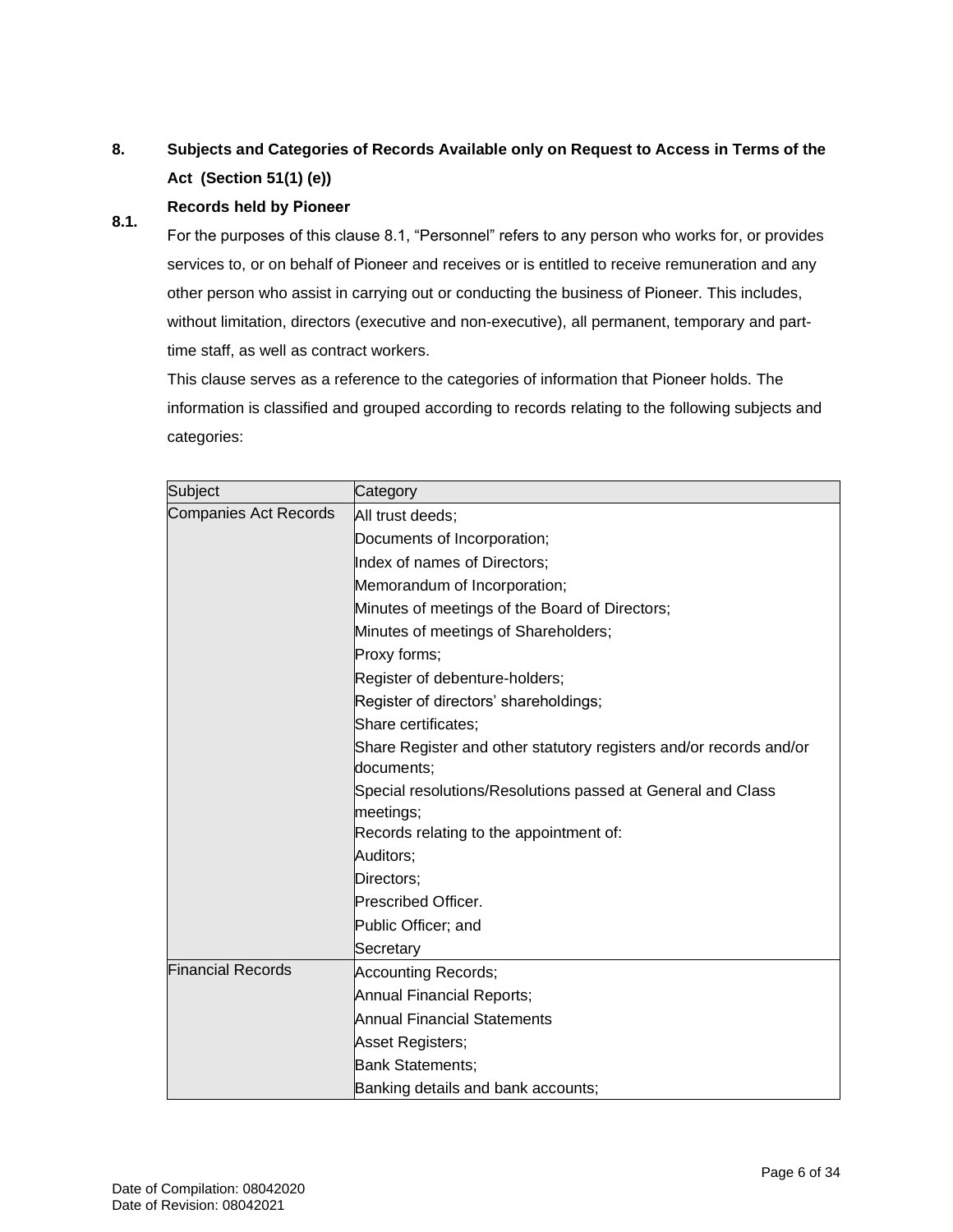#### **8. Subjects and Categories of Records Available only on Request to Access in Terms of the Act (Section 51(1) (e))**

#### **8.1. Records held by Pioneer**

For the purposes of this clause 8.1, "Personnel" refers to any person who works for, or provides services to, or on behalf of Pioneer and receives or is entitled to receive remuneration and any other person who assist in carrying out or conducting the business of Pioneer. This includes, without limitation, directors (executive and non-executive), all permanent, temporary and parttime staff, as well as contract workers.

This clause serves as a reference to the categories of information that Pioneer holds. The information is classified and grouped according to records relating to the following subjects and categories:

| Subject                      | Category                                                                         |
|------------------------------|----------------------------------------------------------------------------------|
| <b>Companies Act Records</b> | All trust deeds;                                                                 |
|                              | Documents of Incorporation;                                                      |
|                              | Index of names of Directors;                                                     |
|                              | Memorandum of Incorporation;                                                     |
|                              | Minutes of meetings of the Board of Directors;                                   |
|                              | Minutes of meetings of Shareholders;                                             |
|                              | Proxy forms;                                                                     |
|                              | Register of debenture-holders;                                                   |
|                              | Register of directors' shareholdings;                                            |
|                              | Share certificates;                                                              |
|                              | Share Register and other statutory registers and/or records and/or<br>documents; |
|                              | Special resolutions/Resolutions passed at General and Class<br>meetings;         |
|                              | Records relating to the appointment of:                                          |
|                              | Auditors;                                                                        |
|                              | Directors;                                                                       |
|                              | Prescribed Officer.                                                              |
|                              | Public Officer; and                                                              |
|                              | Secretary                                                                        |
| <b>Financial Records</b>     | <b>Accounting Records;</b>                                                       |
|                              | Annual Financial Reports;                                                        |
|                              | Annual Financial Statements                                                      |
|                              | Asset Registers;                                                                 |
|                              | <b>Bank Statements;</b>                                                          |
|                              | Banking details and bank accounts;                                               |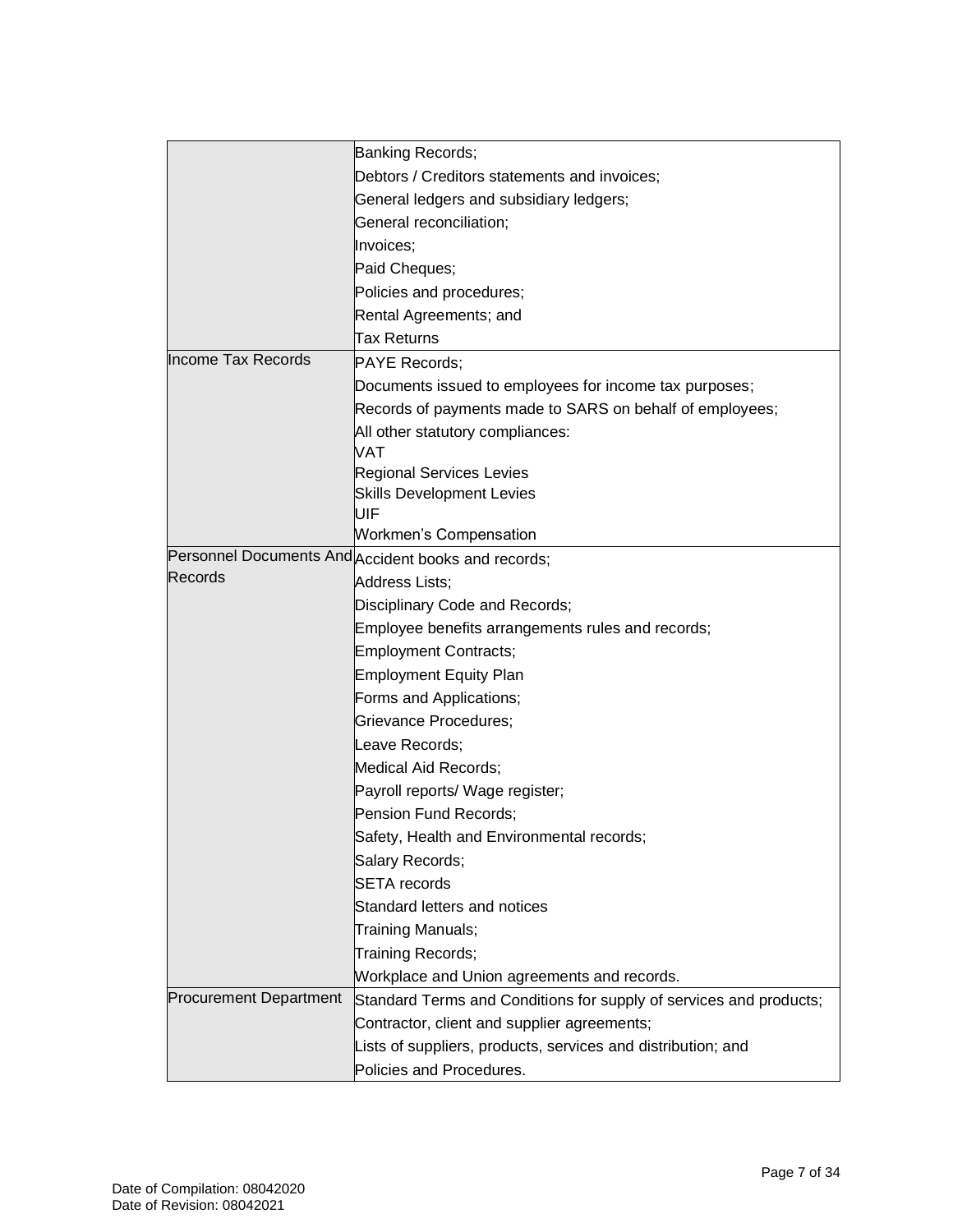|                               | Banking Records;                                                   |
|-------------------------------|--------------------------------------------------------------------|
|                               | Debtors / Creditors statements and invoices;                       |
|                               | General ledgers and subsidiary ledgers;                            |
|                               | General reconciliation;                                            |
|                               | Invoices;                                                          |
|                               | Paid Cheques;                                                      |
|                               | Policies and procedures;                                           |
|                               | Rental Agreements; and                                             |
|                               | <b>Tax Returns</b>                                                 |
| Income Tax Records            | PAYE Records;                                                      |
|                               | Documents issued to employees for income tax purposes;             |
|                               | Records of payments made to SARS on behalf of employees;           |
|                               | All other statutory compliances:                                   |
|                               | VAT                                                                |
|                               | <b>Regional Services Levies</b>                                    |
|                               | <b>Skills Development Levies</b>                                   |
|                               | UIF                                                                |
|                               | <b>Workmen's Compensation</b>                                      |
| Records                       | Personnel Documents And Accident books and records;                |
|                               | Address Lists;                                                     |
|                               | Disciplinary Code and Records;                                     |
|                               | Employee benefits arrangements rules and records;                  |
|                               | <b>Employment Contracts;</b>                                       |
|                               | <b>Employment Equity Plan</b>                                      |
|                               | Forms and Applications;                                            |
|                               | Grievance Procedures;                                              |
|                               | Leave Records:                                                     |
|                               | Medical Aid Records;                                               |
|                               | Payroll reports/ Wage register;                                    |
|                               | Pension Fund Records;                                              |
|                               | Safety, Health and Environmental records;                          |
|                               | Salary Records;                                                    |
|                               | <b>SETA</b> records                                                |
|                               | Standard letters and notices                                       |
|                               | Training Manuals;                                                  |
|                               | Training Records;                                                  |
|                               | Workplace and Union agreements and records.                        |
| <b>Procurement Department</b> | Standard Terms and Conditions for supply of services and products; |
|                               | Contractor, client and supplier agreements;                        |
|                               | Lists of suppliers, products, services and distribution; and       |
|                               | Policies and Procedures.                                           |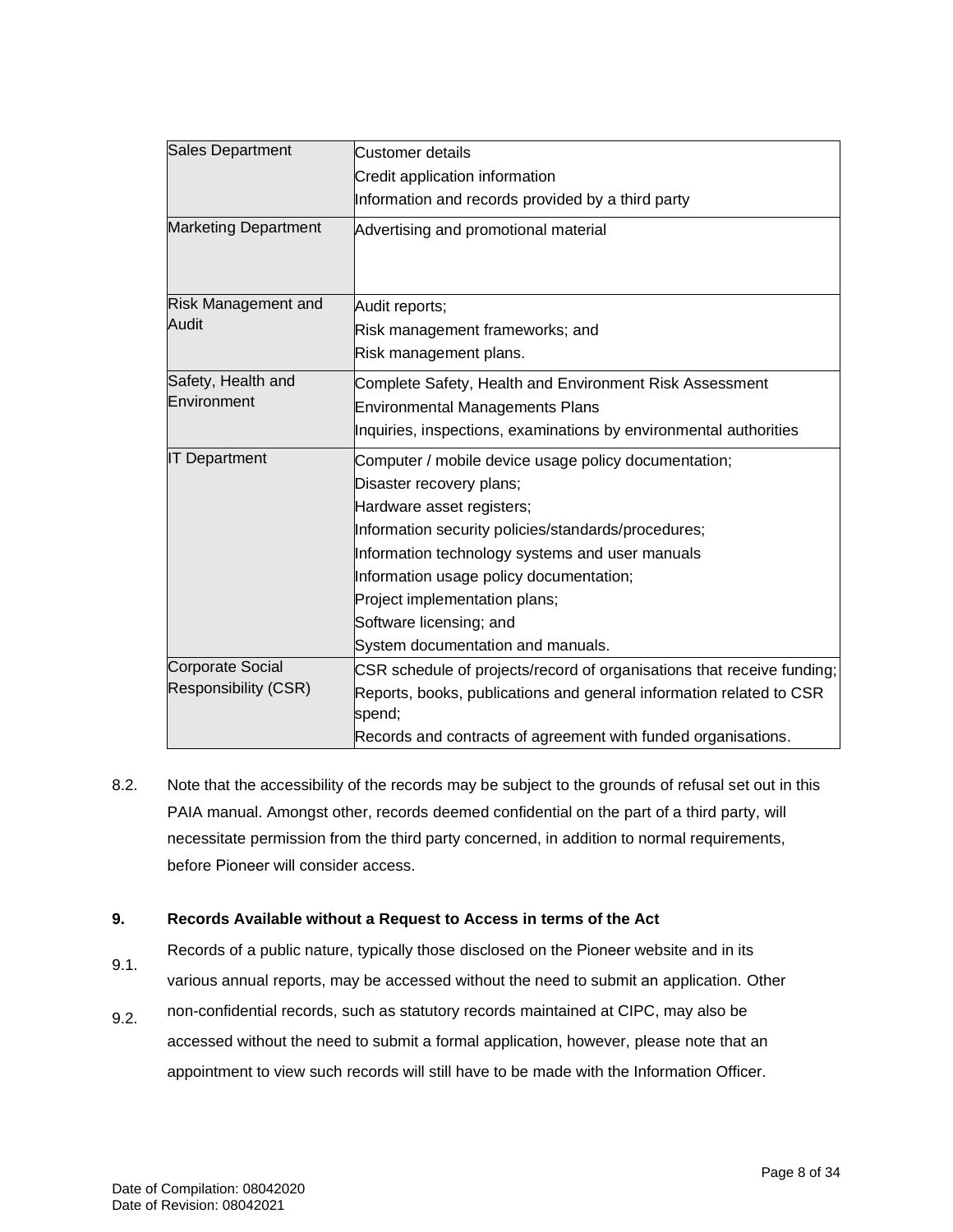| <b>Sales Department</b>     | <b>Customer details</b>                                                       |
|-----------------------------|-------------------------------------------------------------------------------|
|                             | Credit application information                                                |
|                             | Information and records provided by a third party                             |
| <b>Marketing Department</b> | Advertising and promotional material                                          |
| Risk Management and         | Audit reports;                                                                |
| Audit                       | Risk management frameworks; and                                               |
|                             | Risk management plans.                                                        |
| Safety, Health and          | Complete Safety, Health and Environment Risk Assessment                       |
| Environment                 | <b>Environmental Managements Plans</b>                                        |
|                             | Inquiries, inspections, examinations by environmental authorities             |
| <b>IT Department</b>        | Computer / mobile device usage policy documentation;                          |
|                             | Disaster recovery plans;                                                      |
|                             | Hardware asset registers;                                                     |
|                             | Information security policies/standards/procedures;                           |
|                             | Information technology systems and user manuals                               |
|                             | Information usage policy documentation;                                       |
|                             | Project implementation plans;                                                 |
|                             | Software licensing; and                                                       |
|                             | System documentation and manuals.                                             |
| <b>Corporate Social</b>     | CSR schedule of projects/record of organisations that receive funding;        |
| <b>Responsibility (CSR)</b> | Reports, books, publications and general information related to CSR<br>spend; |
|                             | Records and contracts of agreement with funded organisations.                 |

8.2. Note that the accessibility of the records may be subject to the grounds of refusal set out in this PAIA manual. Amongst other, records deemed confidential on the part of a third party, will necessitate permission from the third party concerned, in addition to normal requirements, before Pioneer will consider access.

#### **9. Records Available without a Request to Access in terms of the Act**

- 9.1. Records of a public nature, typically those disclosed on the Pioneer website and in its various annual reports, may be accessed without the need to submit an application. Other
- 9.2. non-confidential records, such as statutory records maintained at CIPC, may also be accessed without the need to submit a formal application, however, please note that an appointment to view such records will still have to be made with the Information Officer.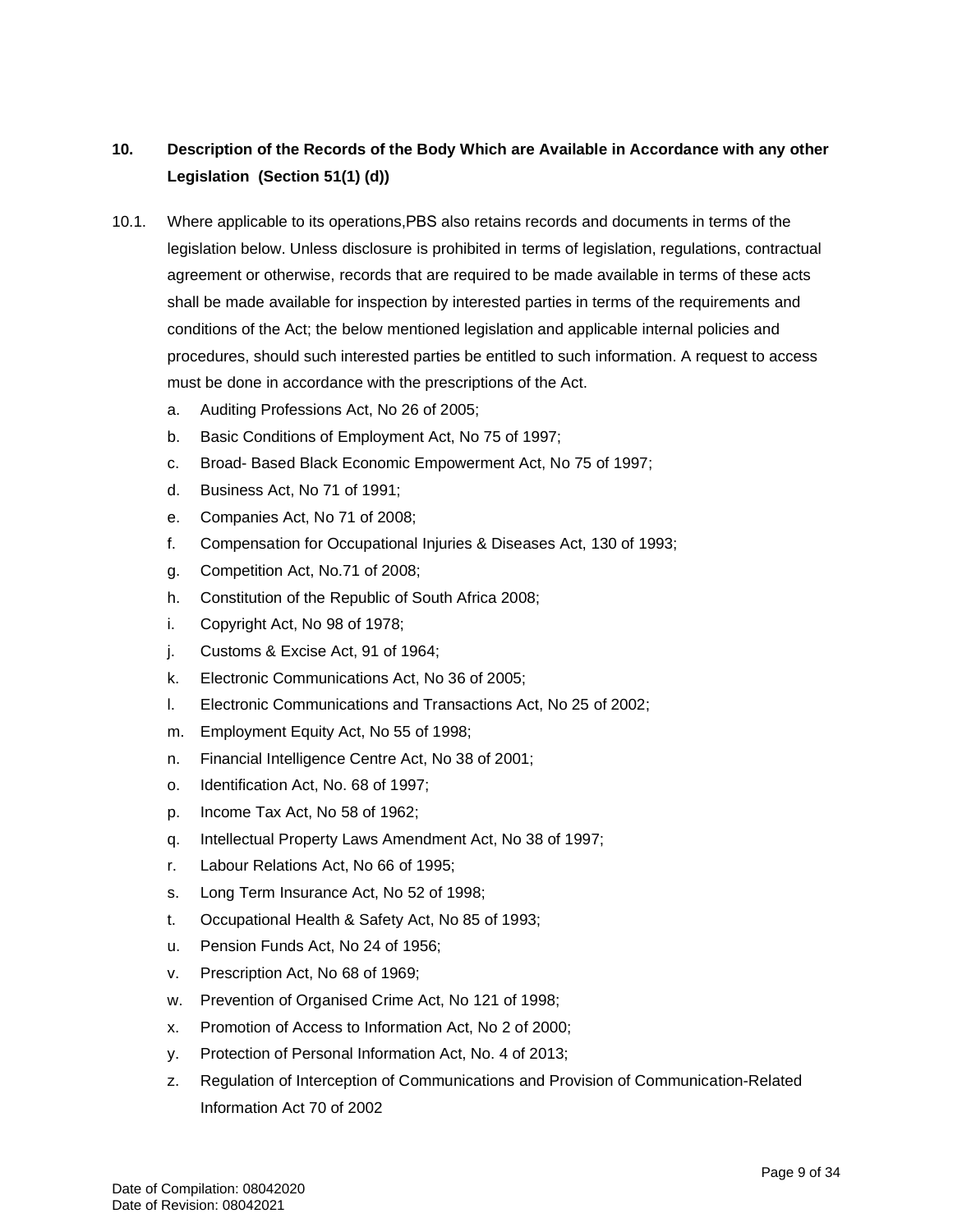#### **10. Description of the Records of the Body Which are Available in Accordance with any other Legislation (Section 51(1) (d))**

- 10.1. Where applicable to its operations,Pioneer also retains records and documents in terms of the legislation below. Unless disclosure prohibited in terms of legislation, regulations, contractual agreement or otherwise, records that are required to be made available in terms of these acts shall be made available for inspection by interested parties in terms of the requirements and conditions of the Act; the below mentioned legislation and applicable internal policies and procedures, should such interested parties be entitled to such information. A request to access must be done in accordance with the prescriptions of the Act.
	- a. Auditing Professions Act, No 26 of 2005;
	- b. Basic Conditions of Employment Act, No 75 of 1997;
	- c. Broad- Based Black Economic Empowerment Act, No 75 of 1997;
	- d. Business Act, No 71 of 1991;
	- e. Companies Act, No 71 of 2008;
	- f. Compensation for Occupational Injuries & Diseases Act, 130 of 1993;
	- g. Competition Act, No.71 of 2008;
	- h. Constitution of the Republic of South Africa 2008;
	- i. Copyright Act, No 98 of 1978;
	- j. Customs & Excise Act, 91 of 1964;
	- k. Electronic Communications Act, No 36 of 2005;
	- l. Electronic Communications and Transactions Act, No 25 of 2002;
	- m. Employment Equity Act, No 55 of 1998;
	- n. Financial Intelligence Centre Act, No 38 of 2001;
	- o. Identification Act, No. 68 of 1997;
	- p. Income Tax Act, No 58 of 1962;
	- q. Intellectual Property Laws Amendment Act, No 38 of 1997;
	- r. Labour Relations Act, No 66 of 1995;
	- s. Long Term Insurance Act, No 52 of 1998;
	- t. Occupational Health & Safety Act, No 85 of 1993;
	- u. Pension Funds Act, No 24 of 1956;
	- v. Prescription Act, No 68 of 1969;
	- w. Prevention of Organised Crime Act, No 121 of 1998;
	- x. Promotion of Access to Information Act, No 2 of 2000;
	- y. Protection of Personal Information Act, No. 4 of 2013;
	- z. Regulation of Interception of Communications and Provision of Communication-Related Information Act 70 of 2002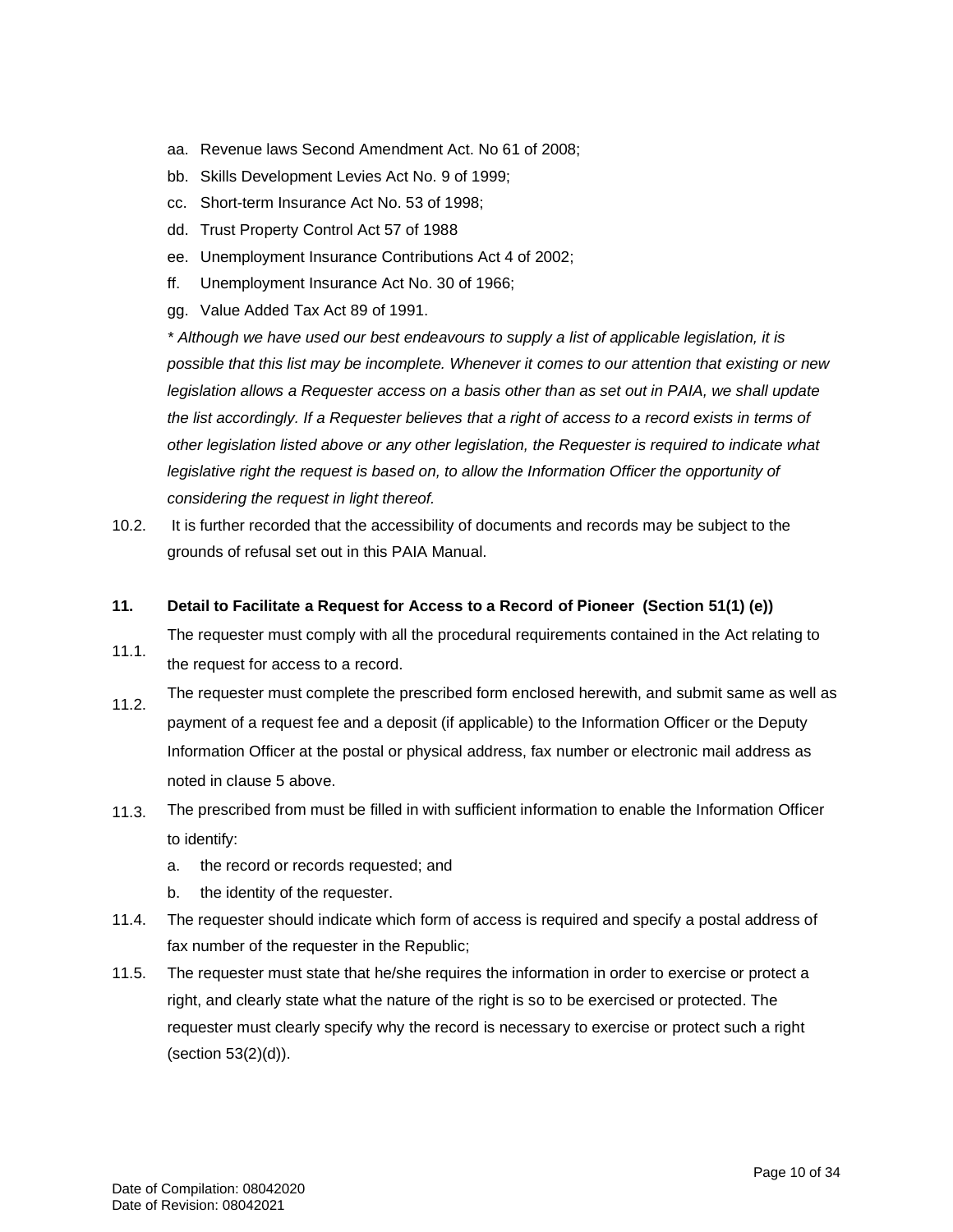- aa. Revenue laws Second Amendment Act. No 61 of 2008;
- bb. Skills Development Levies Act No. 9 of 1999;
- cc. Short-term Insurance Act No. 53 of 1998;
- dd. Trust Property Control Act 57 of 1988
- ee. Unemployment Insurance Contributions Act 4 of 2002;
- ff. Unemployment Insurance Act No. 30 of 1966;
- gg. Value Added Tax Act 89 of 1991.

*\* Although we have used our best endeavours to supply a list of applicable legislation, it is possible that this list may be incomplete. Whenever it comes to our attention that existing or new legislation allows a Requester access on a basis other than as set out in PAIA, we shall update the list accordingly. If a Requester believes that a right of access to a record exists in terms of other legislation listed above or any other legislation, the Requester is required to indicate what*  legislative right the request is based on, to allow the Information Officer the opportunity of *considering the request in light thereof.*

10.2. It is further recorded that the accessibility of documents and records may be subject to the grounds of refusal set out in this PAIA Manual.

#### **11. Detail to Facilitate a Request for Access to a Record of Pioneer (Section 51(1) (e))**

The requester must comply with all the procedural requirements contained in the Act relating to

- 11.1. the request for access to a record.
- 11.2. The requester must complete the prescribed form enclosed herewith, and submit same as well as payment of a request fee and a deposit (if applicable) to the Information Officer or the Deputy Information Officer at the postal or physical address, fax number or electronic mail address as noted in clause 5 above.
- 11.3. The prescribed from must be filled in with sufficient information to enable the Information Officer to identify:
	- a. the record or records requested; and
	- b. the identity of the requester.
- 11.4. The requester should indicate which form of access is required and specify a postal address of fax number of the requester in the Republic;
- 11.5. The requester must state that he/she requires the information in order to exercise or protect a right, and clearly state what the nature of the right is so to be exercised or protected. The requester must clearly specify why the record is necessary to exercise or protect such a right (section 53(2)(d)).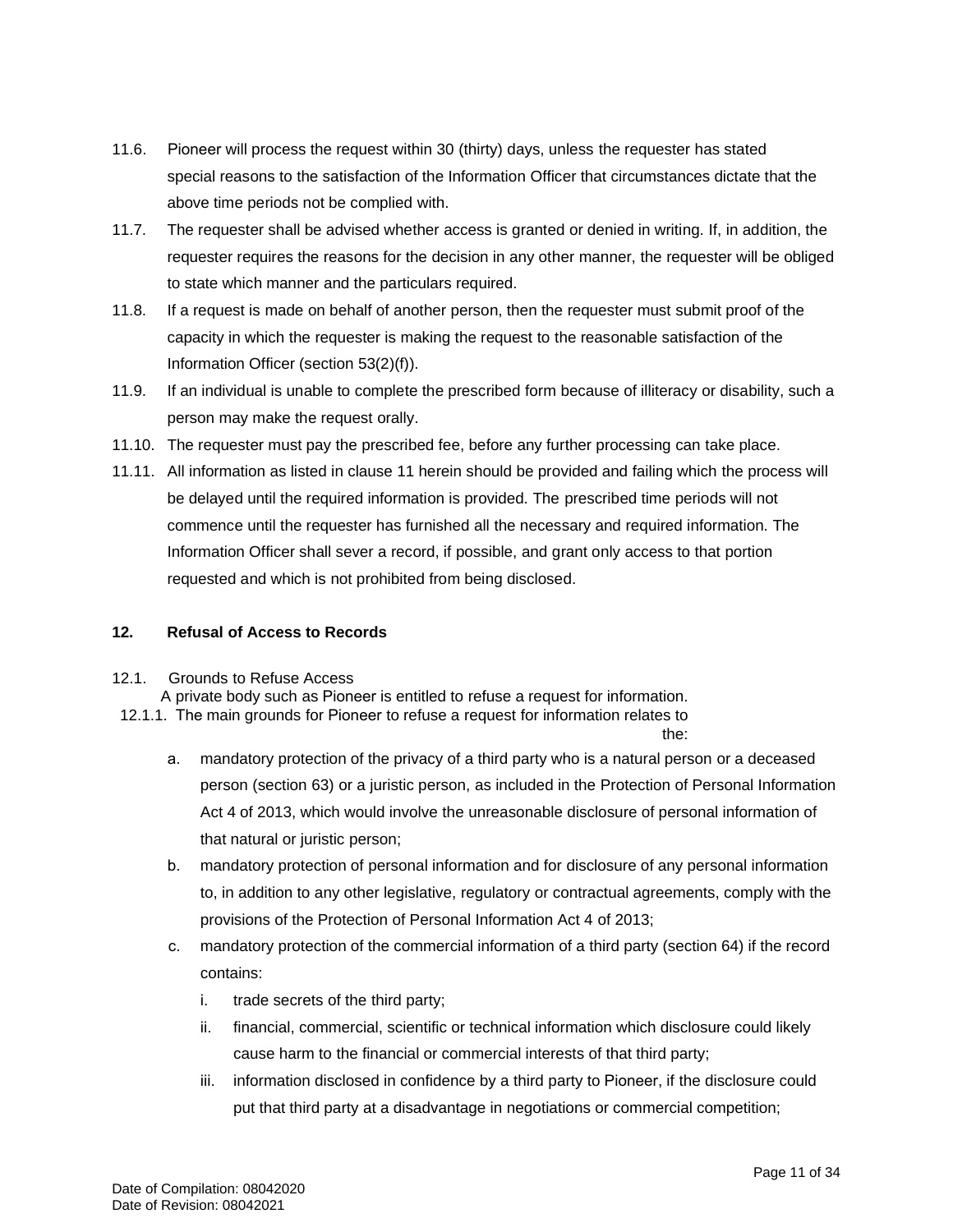- 11.6. Pioneer will process the request within 30 (thirty) days, unless the requester has stated special reasons to the satisfaction of the Information Officer that circumstances dictate that the above time periods not be complied with.
- 11.7. The requester shall be advised whether access is granted or denied in writing. If, in addition, the requester requires the reasons for the decision in any other manner, the requester will be obliged to state which manner and the particulars required.
- 11.8. If a request is made on behalf of another person, then the requester must submit proof of the capacity in which the requester is making the request to the reasonable satisfaction of the Information Officer (section 53(2)(f)).
- 11.9. If an individual is unable to complete the prescribed form because of illiteracy or disability, such a person may make the request orally.
- 11.10. The requester must pay the prescribed fee, before any further processing can take place.
- 11.11. All information as listed in clause 11 herein should be provided and failing which the process will be delayed until the required information is provided. The prescribed time periods will not commence until the requester has furnished all the necessary and required information. The Information Officer shall sever a record, if possible, and grant only access to that portion requested and which is not prohibited from being disclosed.

#### **12. Refusal of Access to Records**

#### 12.1. Grounds to Refuse Access

A private body such as Pioneer is entitled to refuse a request for information.

- 12.1.1. The main grounds for Pioneer to refuse a request for information relates to the:
- a. mandatory protection of the privacy of a third party who is a natural person or a deceased person (section 63) or a juristic person, as included in the Protection of Personal Information Act 4 of 2013, which would involve the unreasonable disclosure of personal information of that natural or juristic person;
- b. mandatory protection of personal information and for disclosure of any personal information to, in addition to any other legislative, regulatory or contractual agreements, comply with the provisions of the Protection of Personal Information Act 4 of 2013;
- c. mandatory protection of the commercial information of a third party (section 64) if the record contains:
	- i. trade secrets of the third party;
	- ii. financial, commercial, scientific or technical information which disclosure could likely cause harm to the financial or commercial interests of that third party;
	- iii. information disclosed in confidence by a third party to Pioneer, if the disclosure could put that third party at a disadvantage in negotiations or commercial competition;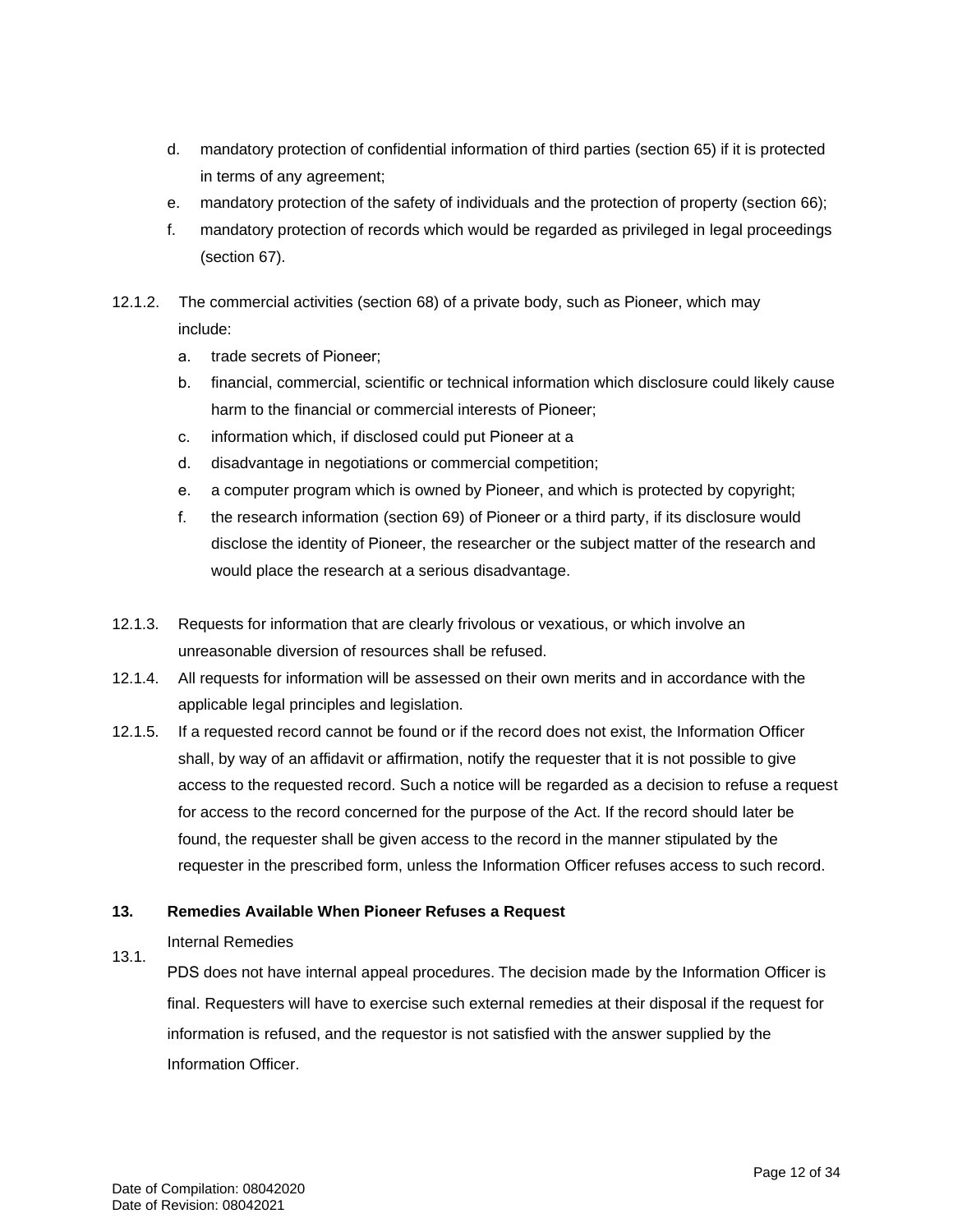- d. mandatory protection of confidential information of third parties (section 65) if it is protected in terms of any agreement;
- e. mandatory protection of the safety of individuals and the protection of property (section 66);
- f. mandatory protection of records which would be regarded as privileged in legal proceedings (section 67).
- 12.1.2. The commercial activities (section 68) of a private body, such as Pioneer, which may include:
	- a. trade secrets of Pioneer;
	- b. financial, commercial, scientific or technical information which disclosure could likely cause harm to the financial or commercial interests of Pioneer;
	- c. information which, if disclosed could put Pioneer at a
	- d. disadvantage in negotiations or commercial competition;
	- e. a computer program which is owned by Pioneer, and which is protected by copyright;
	- f. the research information (section 69) of Pioneer or a third party, if its disclosure would disclose the identity of Pioneer, the researcher or the subject matter of the research and would place the research at a serious disadvantage.
- 12.1.3. Requests for information that are clearly frivolous or vexatious, or which involve an unreasonable diversion of resources shall be refused.
- 12.1.4. All requests for information will be assessed on their own merits and in accordance with the applicable legal principles and legislation.
- 12.1.5. If a requested record cannot be found or if the record does not exist, the Information Officer shall, by way of an affidavit or affirmation, notify the requester that it is not possible to give access to the requested record. Such a notice will be regarded as a decision to refuse a request for access to the record concerned for the purpose of the Act. If the record should later be found, the requester shall be given access to the record in the manner stipulated by the requester in the prescribed form, unless the Information Officer refuses access to such record.

#### **13. Remedies Available When Pioneer Refuses a Request**

#### Internal Remedies

13.1. Pioneer does not have internal appeal procedures. The decision made by the Information Officer is final. Requesters will have to exercise such external remedies at their disposal if the request for information is refused, and the requestor is not satisfied with the answer supplied by the Information Officer.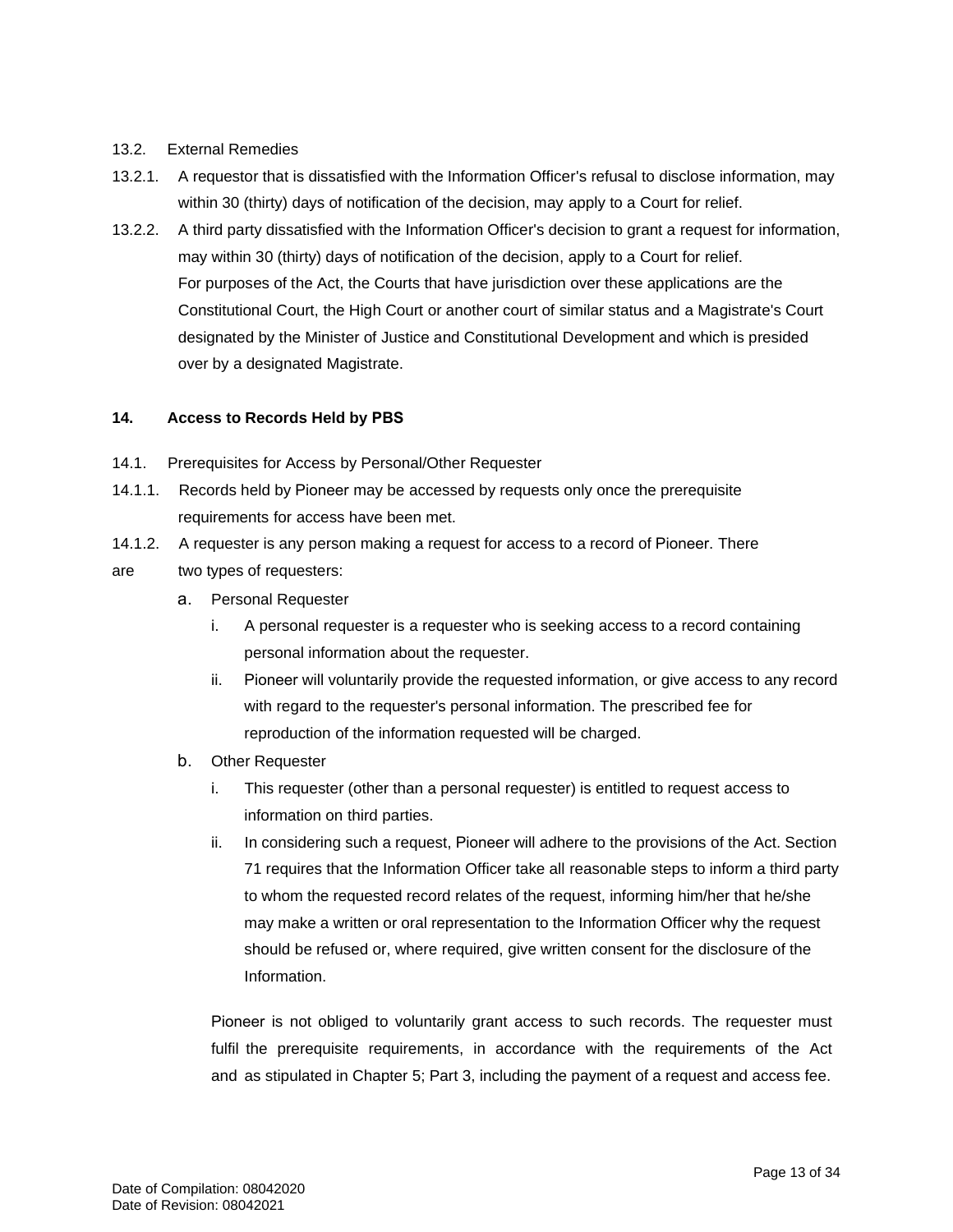#### 13.2. External Remedies

- 13.2.1. A requestor that is dissatisfied with the Information Officer's refusal to disclose information, may within 30 (thirty) days of notification of the decision, may apply to a Court for relief.
- 13.2.2. A third party dissatisfied with the Information Officer's decision to grant a request for information, may within 30 (thirty) days of notification of the decision, apply to a Court for relief. For purposes of the Act, the Courts that have jurisdiction over these applications are the Constitutional Court, the High Court or another court of similar status and a Magistrate's Court designated by the Minister of Justice and Constitutional Development and which is presided over by a designated Magistrate.

#### **14. Access to Records Held by Pioneer**

- 14.1. Prerequisites for Access by Personal/Other Requester
- 14.1.1. Records held by Pioneer may be accessed by requests only once the prerequisite requirements for access have been met.
- 14.1.2. A requester is any person making a request for access to a record of Pioneer. There
- are two types of requesters:
	- a. Personal Requester
		- i. A personal requester is a requester who is seeking access to a record containing personal information about the requester.
		- ii. Pioneer will voluntarily provide the requested information, or give access to any record with regard to the requester's personal information. The prescribed fee for reproduction of the information requested will be charged.
	- b. Other Requester
		- i. This requester (other than a personal requester) is entitled to request access to information on third parties.
		- ii. In considering such a request, Pioneer will adhere to the provisions of the Act. Section 71 requires that the Information Officer take all reasonable steps to inform a third party to whom the requested record relates of the request, informing him/her that he/she may make a written or oral representation to the Information Officer why the request should be refused or, where required, give written consent for the disclosure of the Information.

Pioneer is not obliged to voluntarily grant access to such records. The requester must fulfil the prerequisite requirements, in accordance with the requirements of the Act and as stipulated in Chapter 5; Part 3, including the payment of a request and access fee.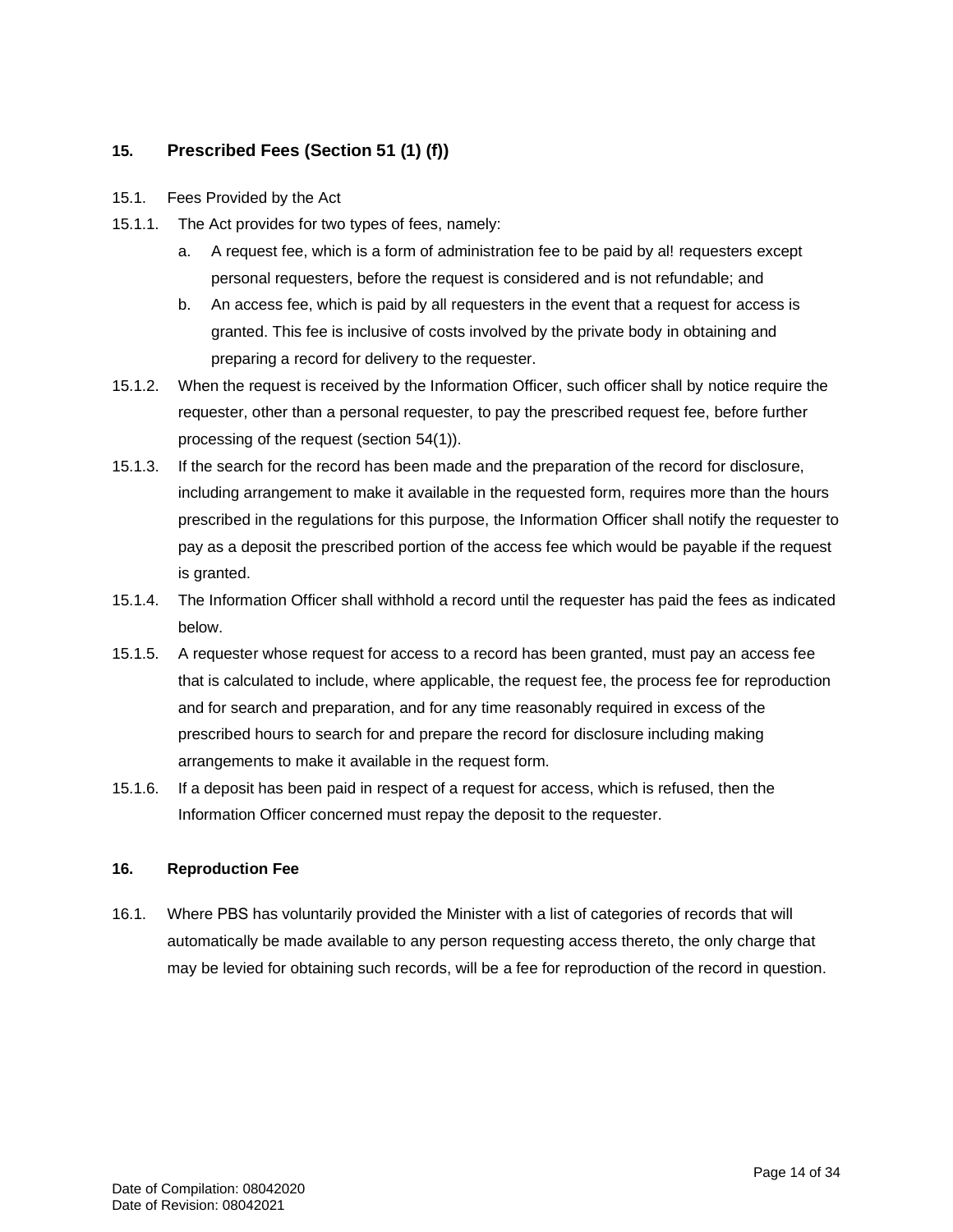## **15. Prescribed Fees (Section 51 (1) (f))**

- 15.1. Fees Provided by the Act
- 15.1.1. The Act provides for two types of fees, namely:
	- a. A request fee, which is a form of administration fee to be paid by al! requesters except personal requesters, before the request is considered and is not refundable; and
	- b. An access fee, which is paid by all requesters in the event that a request for access is granted. This fee is inclusive of costs involved by the private body in obtaining and preparing a record for delivery to the requester.
- 15.1.2. When the request is received by the Information Officer, such officer shall by notice require the requester, other than a personal requester, to pay the prescribed request fee, before further processing of the request (section 54(1)).
- 15.1.3. If the search for the record has been made and the preparation of the record for disclosure, including arrangement to make it available in the requested form, requires more than the hours prescribed in the regulations for this purpose, the Information Officer shall notify the requester to pay as a deposit the prescribed portion of the access fee which would be payable if the request is granted.
- 15.1.4. The Information Officer shall withhold a record until the requester has paid the fees as indicated below.
- 15.1.5. A requester whose request for access to a record has been granted, must pay an access fee that is calculated to include, where applicable, the request fee, the process fee for reproduction and for search and preparation, and for any time reasonably required in excess of the prescribed hours to search for and prepare the record for disclosure including making arrangements to make it available in the request form.
- 15.1.6. If a deposit has been paid in respect of a request for access, which is refused, then the Information Officer concerned must repay the deposit to the requester.

#### **16. Reproduction Fee**

16.1. Where Pioneer has voluntarily provided the Minister with a list of categories of records that will automatically be made available to any person requesting access thereto, the only charge that may be levied for obtaining such records, will be a fee for reproduction of the record in question.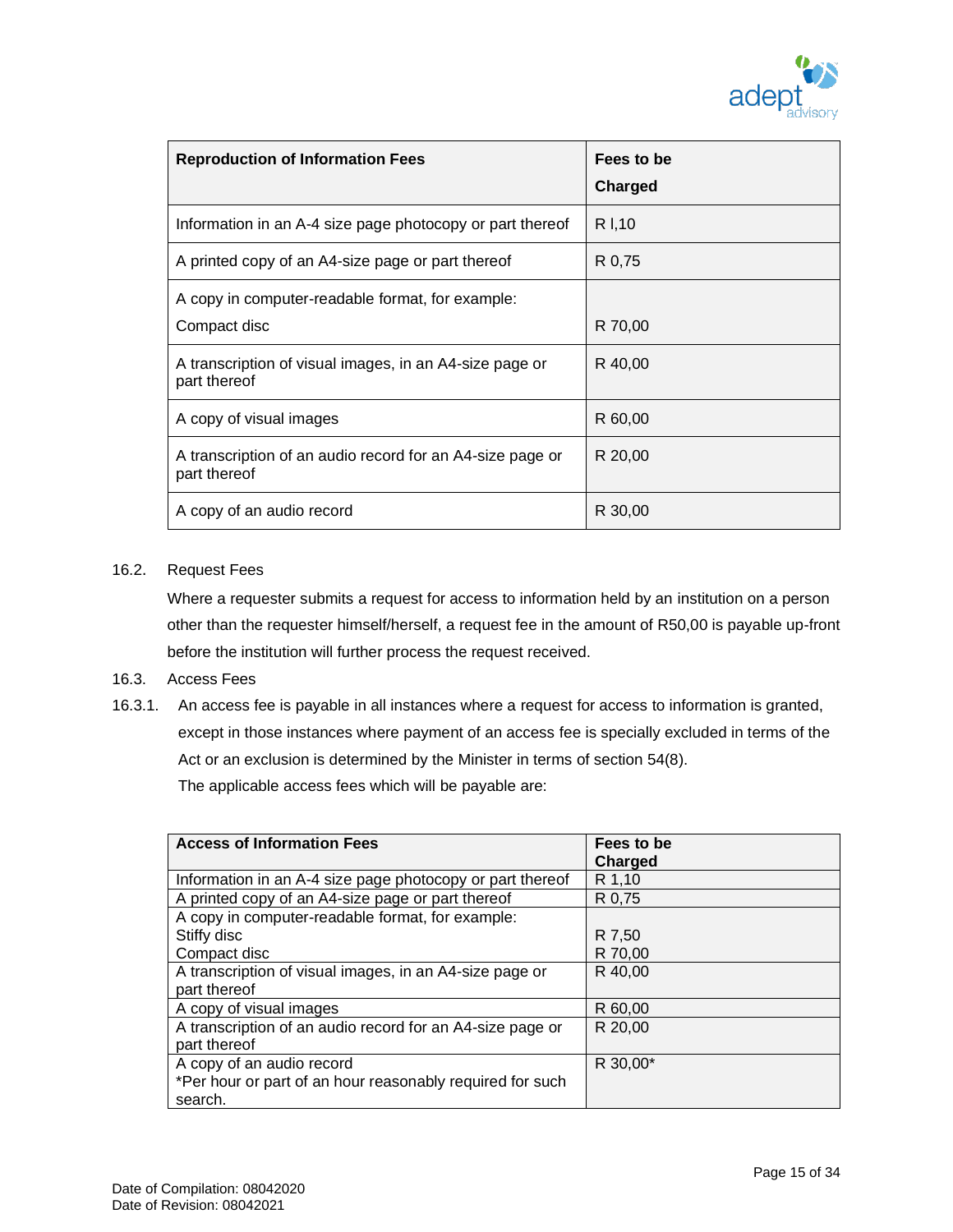| <b>Reproduction of Information Fees</b>                                   | Fees to be<br>Charged |
|---------------------------------------------------------------------------|-----------------------|
| Information in an A-4 size page photocopy or part thereof                 | R I.10                |
| A printed copy of an A4-size page or part thereof                         | R 0,75                |
| A copy in computer-readable format, for example:<br>Compact disc          | R 70,00               |
| A transcription of visual images, in an A4-size page or<br>part thereof   | R 40,00               |
| A copy of visual images                                                   | R 60,00               |
| A transcription of an audio record for an A4-size page or<br>part thereof | R 20,00               |
| A copy of an audio record                                                 | R 30,00               |

#### 16.2. Request Fees

Where a requester submits a request for access to information held by an institution on a person other than the requester himself/herself, a request fee in the amount of R50,00 is payable up-front before the institution will further process the request received.

#### 16.3. Access Fees

16.3.1. An access fee is payable in all instances where a request for access to information is granted, except in those instances where payment of an access fee is specially excluded in terms of the Act or an exclusion is determined by the Minister in terms of section 54(8). The applicable access fees which will be payable are:

| <b>Access of Information Fees</b>                         | Fees to be<br>Charged |
|-----------------------------------------------------------|-----------------------|
| Information in an A-4 size page photocopy or part thereof | R 1,10                |
| A printed copy of an A4-size page or part thereof         | R 0,75                |
| A copy in computer-readable format, for example:          |                       |
| Stiffy disc                                               | R 7,50                |
| Compact disc                                              | R 70,00               |
| A transcription of visual images, in an A4-size page or   | R 40,00               |
| part thereof                                              |                       |
| A copy of visual images                                   | R 60,00               |
| A transcription of an audio record for an A4-size page or | R 20,00               |
| part thereof                                              |                       |
| A copy of an audio record                                 | R 30,00*              |
| *Per hour or part of an hour reasonably required for such |                       |
| search.                                                   |                       |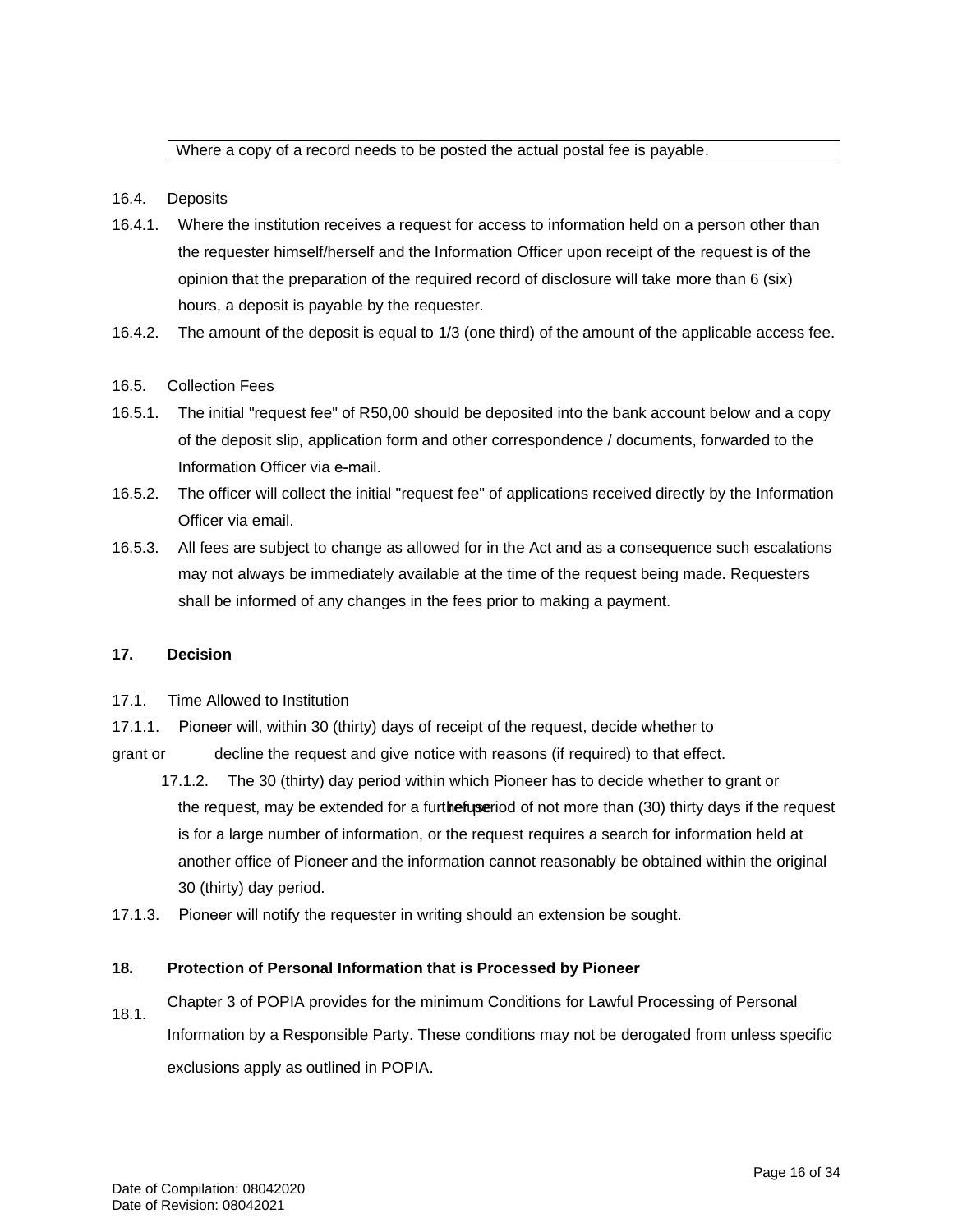### Where a copy of a record needs to be posted the actual postal fee is payable.

#### 16.4. Deposits

- 16.4.1. Where the institution receives a request for access to information held on a person other than the requester himself/herself and the Information Officer upon receipt of the request is of the opinion that the preparation of the required record of disclosure will take more than 6 (six) hours, a deposit is payable by the requester.
- 16.4.2. The amount of the deposit is equal to 1/3 (one third) of the amount of the applicable access fee.

#### 16.5. Collection Fees

- 16.5.1. The initial "request fee" of R50,00 should be deposited into the bank account below and a copy of the deposit slip, application form and other correspondence / documents, forwarded to the Information Officer via e-mail.
- 16.5.2. The officer will collect the initial "request fee" of applications received directly by the Information Officer via email.
- 16.5.3. All fees are subject to change as allowed for in the Act and as a consequence such escalations may not always be immediately available at the time of the request being made. Requesters shall be informed of any changes in the fees prior to making a payment.

#### **17. Decision**

- 17.1. Time Allowed to Institution
- 17.1.1. Pioneer will, within 30 (thirty) days of receipt of the request, decide whether to
- grant or decline the request and give notice with reasons (if required) to that effect.
- 17.1.2. The 30 (thirty) day period within which Pioneer has to decide whether to grant or

the request, may be extended for a further period of not more than (30) thirty days if the request is for a large number of information, or the request requires a search for information held at another office of Pioneer and the information cannot reasonably be obtained within the original 30 (thirty) day period.

17.1.3. Pioneer will notify the requester in writing should an extension be sought.

#### **18. Protection of Personal Information that is Processed by Pioneer**

18.1. Chapter 3 of POPIA provides for the minimum Conditions for Lawful Processing of Personal Information by a Responsible Party. These conditions may not be derogated from unless specific exclusions apply as outlined in POPIA.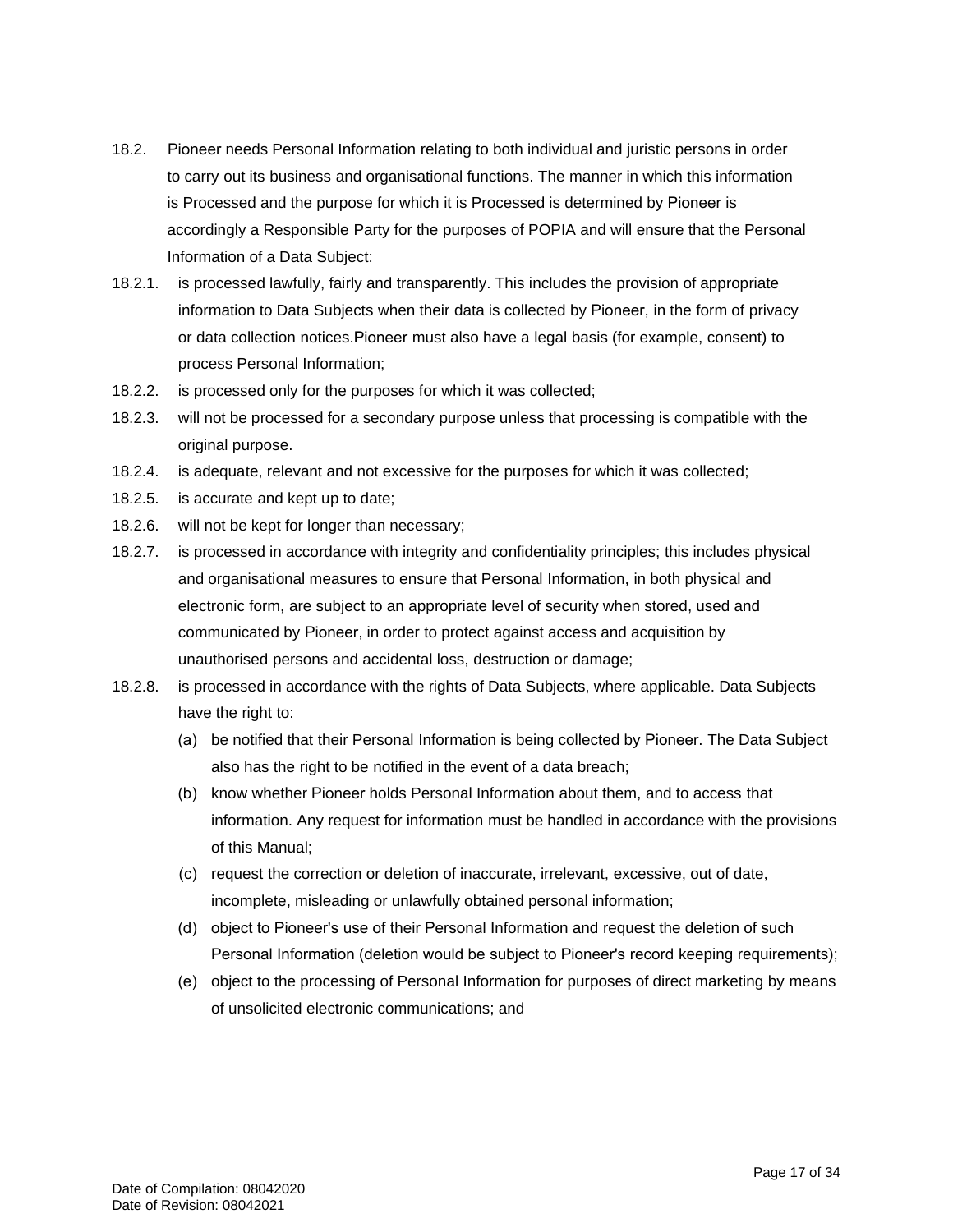- 18.2. Pioneer needs Personal Information relating to both individual and juristic persons in order to carry out its business and organisational functions. The manner in which this information is Processed and the purpose for which it is Processed is determined by Pioneer is accordingly a Responsible Party for the purposes of POPIA and will ensure that the Personal Information of a Data Subject:
- 18.2.1. is processed lawfully, fairly and transparently. This includes the provision of appropriate information to Data Subjects when their data is collected by Pioneer, in the form of privacy or data collection notices.Pioneer must also have a legal basis (for example, consent) to process Personal Information;
- 18.2.2. is processed only for the purposes for which it was collected;
- 18.2.3. will not be processed for a secondary purpose unless that processing is compatible with the original purpose.
- 18.2.4. is adequate, relevant and not excessive for the purposes for which it was collected;
- 18.2.5. is accurate and kept up to date;
- 18.2.6. will not be kept for longer than necessary;
- 18.2.7. is processed in accordance with integrity and confidentiality principles; this includes physical and organisational measures to ensure that Personal Information, in both physical and electronic form, are subject to an appropriate level of security when stored, used and communicated by Pioneer, in order to protect against access and acquisition by unauthorised persons and accidental loss, destruction or damage;
- 18.2.8. is processed in accordance with the rights of Data Subjects, where applicable. Data Subjects have the right to:
	- (a) be notified that their Personal Information is being collected by Pioneer. The Data Subject also has the right to be notified in the event of a data breach;
	- (b) know whether Pioneer holds Personal Information about them, and to access that information. Any request for information must be handled in accordance with the provisions of this Manual;
	- (c) request the correction or deletion of inaccurate, irrelevant, excessive, out of date, incomplete, misleading or unlawfully obtained personal information;
	- (d) object to Pioneer's use of their Personal Information and request the deletion of such Personal Information (deletion would be subject to Pioneer's record keeping requirements);
	- (e) object to the processing of Personal Information for purposes of direct marketing by means of unsolicited electronic communications; and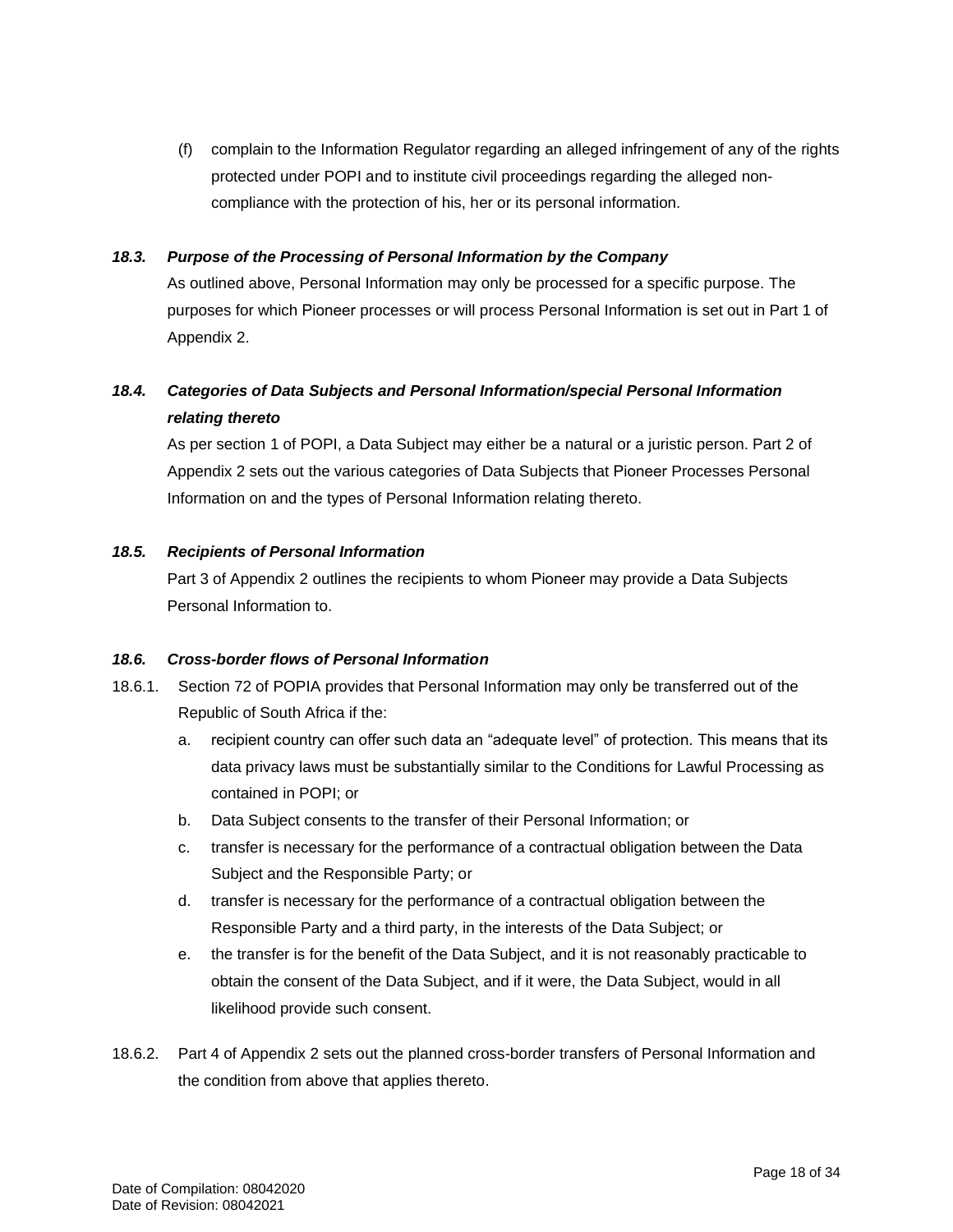(f) complain to the Information Regulator regarding an alleged infringement of any of the rights protected under POPI and to institute civil proceedings regarding the alleged noncompliance with the protection of his, her or its personal information.

#### *18.3. Purpose of the Processing of Personal Information by the Company*

As outlined above, Personal Information may only be processed for a specific purpose. The purposes for which Pioneer processes or will process Personal Information is set out in Part 1 of Appendix 2.

#### *18.4. Categories of Data Subjects and Personal Information/special Personal Information relating thereto*

As per section 1 of POPI, a Data Subject may either be a natural or a juristic person. Part 2 of Appendix 2 sets out the various categories of Data Subjects that Pioneer Processes Personal Information on and the types of Personal Information relating thereto.

#### *18.5. Recipients of Personal Information*

Part 3 of Appendix 2 outlines the recipients to whom Pioneer may provide a Data Subjects Personal Information to.

#### *18.6. Cross-border flows of Personal Information*

- 18.6.1. Section 72 of POPIA provides that Personal Information may only be transferred out of the Republic of South Africa if the:
	- a. recipient country can offer such data an "adequate level" of protection. This means that its data privacy laws must be substantially similar to the Conditions for Lawful Processing as contained in POPI; or
	- b. Data Subject consents to the transfer of their Personal Information; or
	- c. transfer is necessary for the performance of a contractual obligation between the Data Subject and the Responsible Party; or
	- d. transfer is necessary for the performance of a contractual obligation between the Responsible Party and a third party, in the interests of the Data Subject; or
	- e. the transfer is for the benefit of the Data Subject, and it is not reasonably practicable to obtain the consent of the Data Subject, and if it were, the Data Subject, would in all likelihood provide such consent.
- 18.6.2. Part 4 of Appendix 2 sets out the planned cross-border transfers of Personal Information and the condition from above that applies thereto.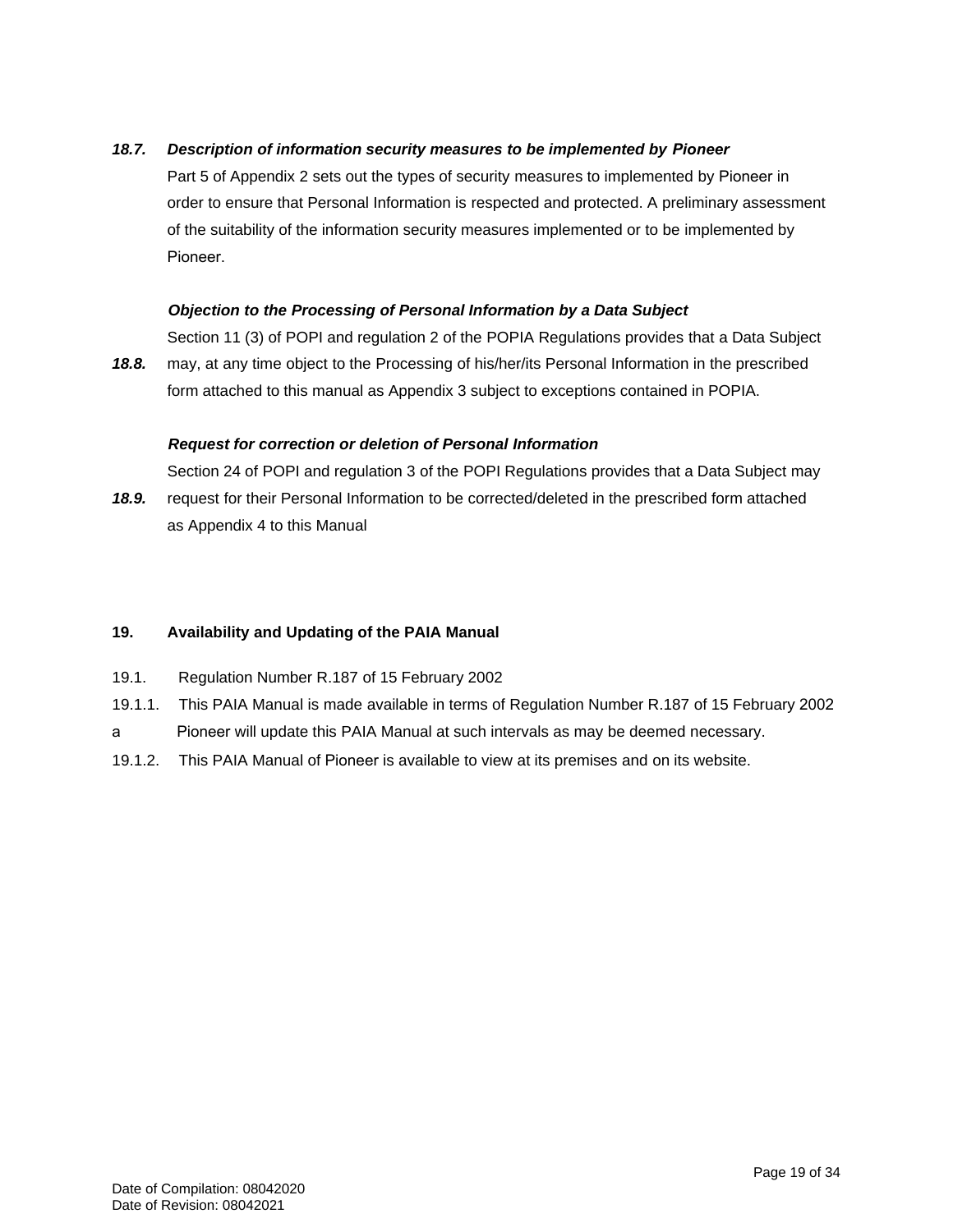### 18.7. Description of information security measures to be implemented by Pioneer

Part 5 of Appendix 2 sets out the types of security measures to implemented by Pioneer in order to ensure that Personal Information is respected and protected. A preliminary assessment of the suitability of the information security measures implemented or to be implemented by Pioneer.

#### *Objection to the Processing of Personal Information by a Data Subject*

*18.8.* Section 11 (3) of POPI and regulation 2 of the POPIA Regulations provides that a Data Subject may, at any time object to the Processing of his/her/its Personal Information in the prescribed form attached to this manual as Appendix 3 subject to exceptions contained in POPIA.

#### *Request for correction or deletion of Personal Information*

*18.9.* Section 24 of POPI and regulation 3 of the POPI Regulations provides that a Data Subject may request for their Personal Information to be corrected/deleted in the prescribed form attached

as Appendix 4 to this Manual

#### **19. Availability and Updating of the PAIA Manual**

- 19.1. Regulation Number R.187 of 15 February 2002
- 19.1.1. This PAIA Manual is made available in terms of Regulation Number R.187 of 15 February 2002
- a Pioneer will update this PAIA Manual at such intervals as may be deemed necessary.
- 19.1.2. This PAIA Manual of Pioneer is available to view at its premises and on its website.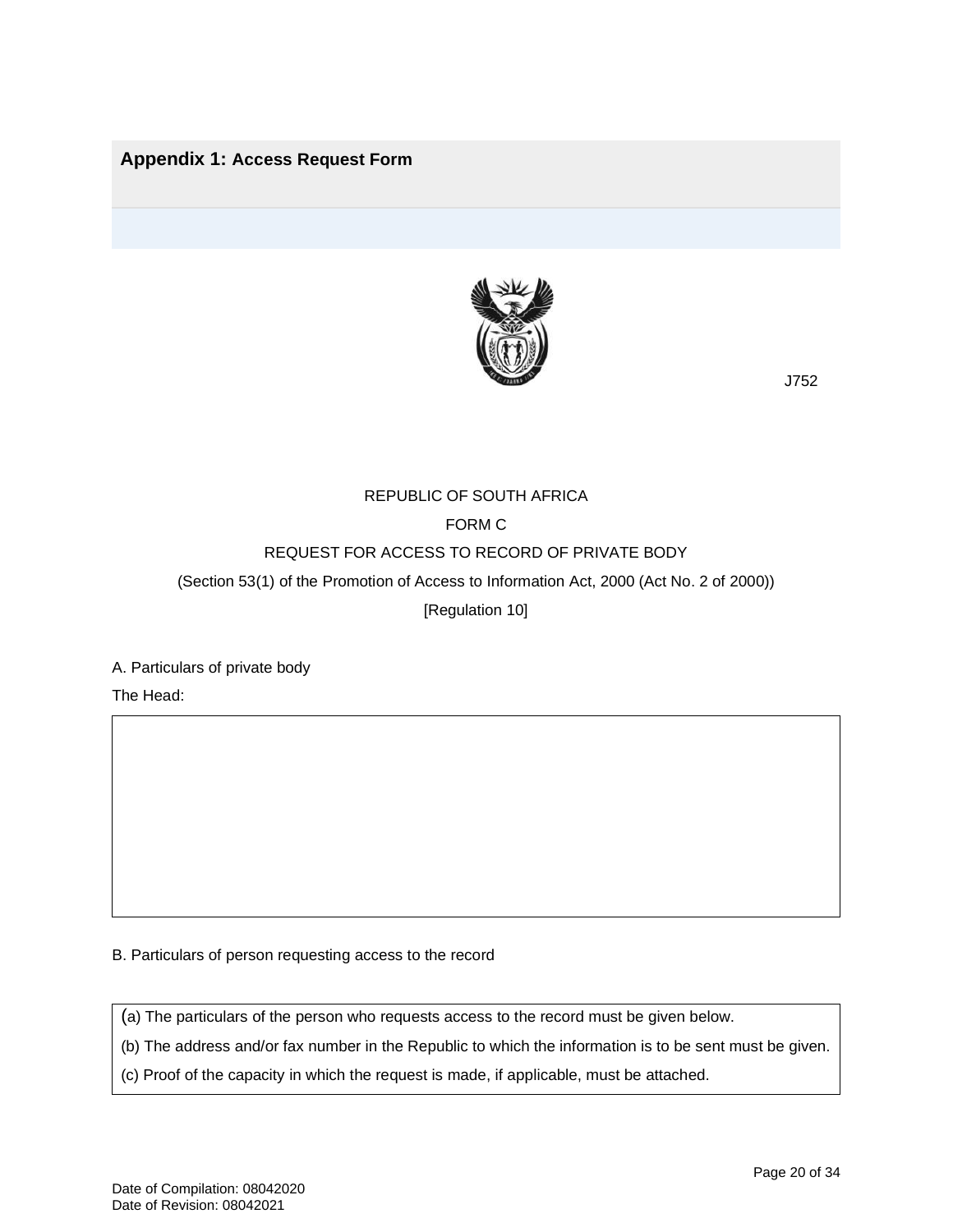## **Appendix 1: Access Request Form**



J752

#### REPUBLIC OF SOUTH AFRICA

## FORM C

## REQUEST FOR ACCESS TO RECORD OF PRIVATE BODY

(Section 53(1) of the Promotion of Access to Information Act, 2000 (Act No. 2 of 2000))

[Regulation 10]

#### A. Particulars of private body

The Head:

B. Particulars of person requesting access to the record

(a) The particulars of the person who requests access to the record must be given below.

(b) The address and/or fax number in the Republic to which the information is to be sent must be given.

(c) Proof of the capacity in which the request is made, if applicable, must be attached.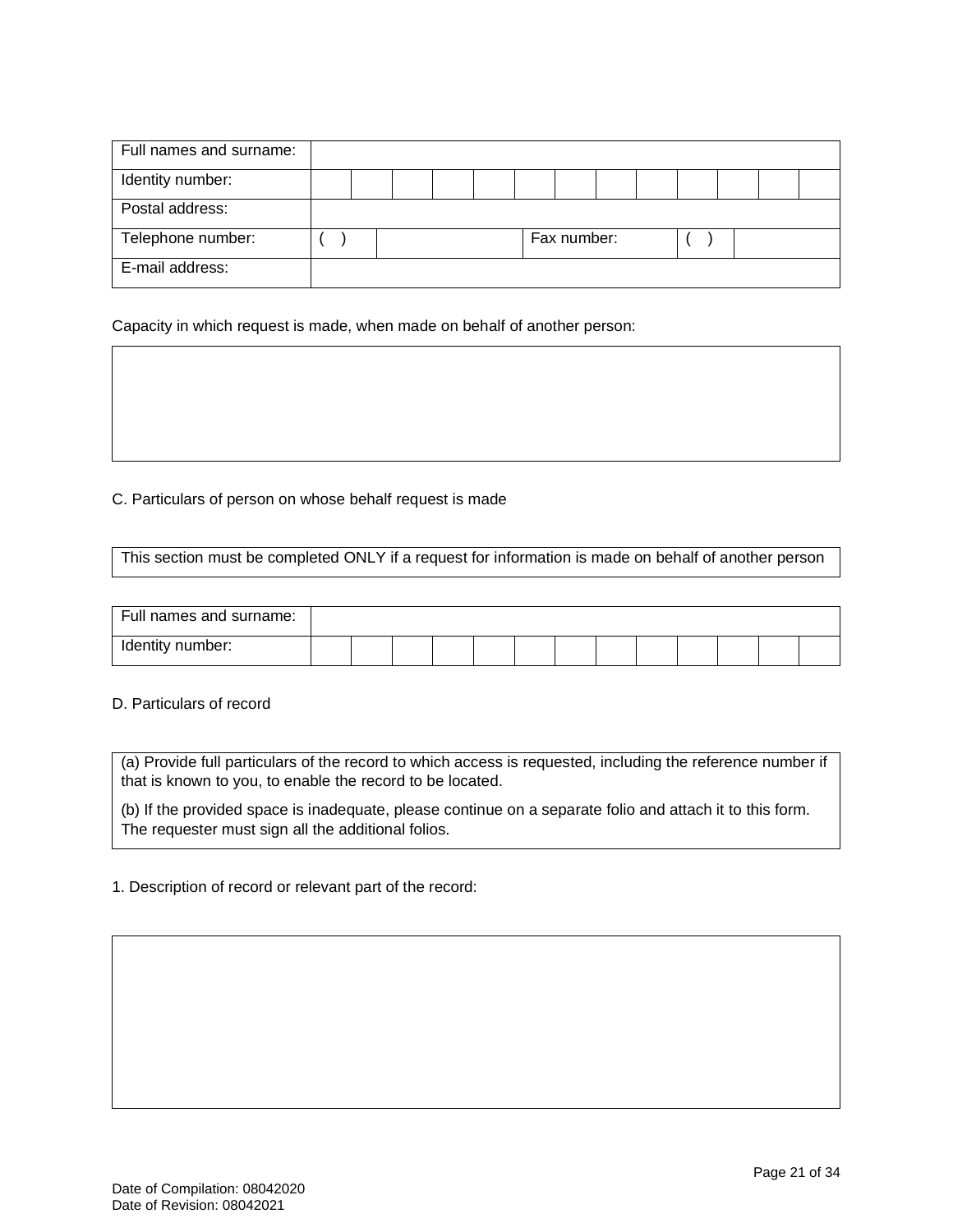| Full names and surname: |  |  |  |             |  |  |  |
|-------------------------|--|--|--|-------------|--|--|--|
| Identity number:        |  |  |  |             |  |  |  |
| Postal address:         |  |  |  |             |  |  |  |
| Telephone number:       |  |  |  | Fax number: |  |  |  |
| E-mail address:         |  |  |  |             |  |  |  |

Capacity in which request is made, when made on behalf of another person:

#### C. Particulars of person on whose behalf request is made

This section must be completed ONLY if a request for information is made on behalf of another person

| Full names and surname: |  |  |  |  |  |  |  |
|-------------------------|--|--|--|--|--|--|--|
| Identity number:        |  |  |  |  |  |  |  |

#### D. Particulars of record

(a) Provide full particulars of the record to which access is requested, including the reference number if that is known to you, to enable the record to be located.

(b) If the provided space is inadequate, please continue on a separate folio and attach it to this form. The requester must sign all the additional folios.

#### 1. Description of record or relevant part of the record: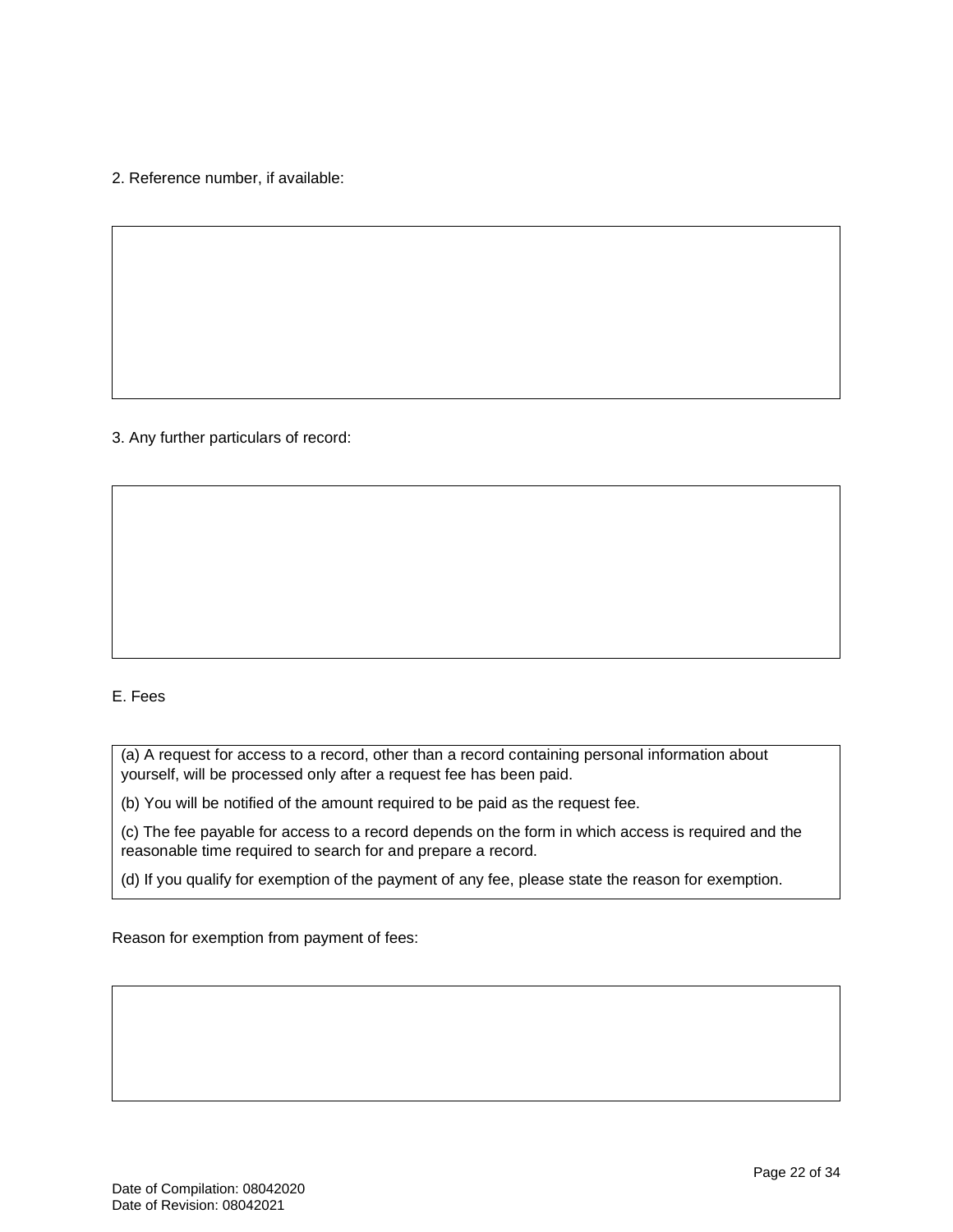2. Reference number, if available:

3. Any further particulars of record:

### E. Fees

(a) A request for access to a record, other than a record containing personal information about yourself, will be processed only after a request fee has been paid.

(b) You will be notified of the amount required to be paid as the request fee.

(c) The fee payable for access to a record depends on the form in which access is required and the reasonable time required to search for and prepare a record.

(d) If you qualify for exemption of the payment of any fee, please state the reason for exemption.

Reason for exemption from payment of fees: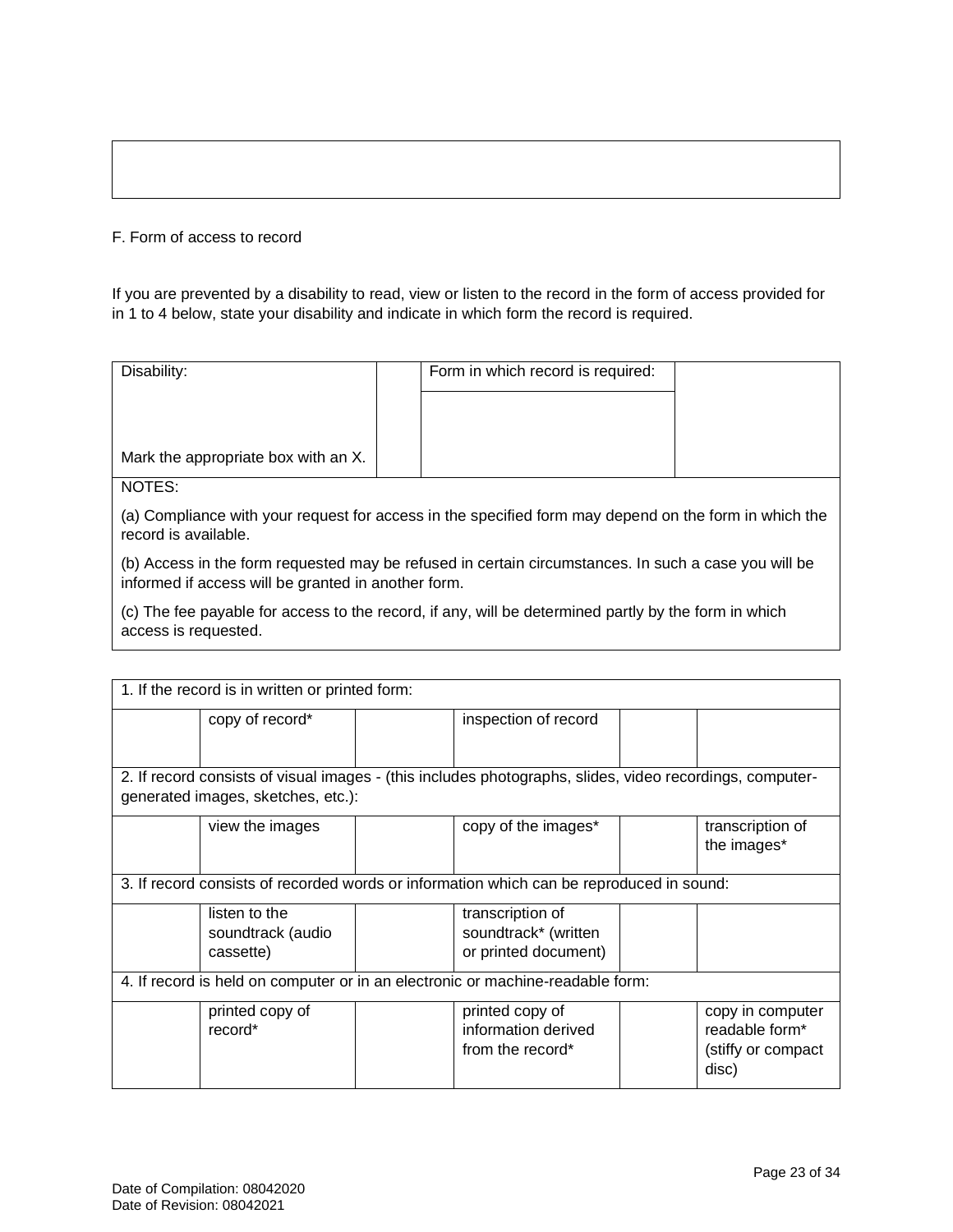#### F. Form of access to record

If you are prevented by a disability to read, view or listen to the record in the form of access provided for in 1 to 4 below, state your disability and indicate in which form the record is required.

| Disability:                         | Form in which record is required: |  |
|-------------------------------------|-----------------------------------|--|
|                                     |                                   |  |
|                                     |                                   |  |
| Mark the appropriate box with an X. |                                   |  |
| NOTES:                              |                                   |  |

(a) Compliance with your request for access in the specified form may depend on the form in which the record is available.

(b) Access in the form requested may be refused in certain circumstances. In such a case you will be informed if access will be granted in another form.

(c) The fee payable for access to the record, if any, will be determined partly by the form in which access is requested.

| 1. If the record is in written or printed form:                                                                                                |                                                 |  |                                                                                          |  |                                                                   |  |  |  |  |
|------------------------------------------------------------------------------------------------------------------------------------------------|-------------------------------------------------|--|------------------------------------------------------------------------------------------|--|-------------------------------------------------------------------|--|--|--|--|
|                                                                                                                                                | copy of record*                                 |  | inspection of record                                                                     |  |                                                                   |  |  |  |  |
| 2. If record consists of visual images - (this includes photographs, slides, video recordings, computer-<br>generated images, sketches, etc.): |                                                 |  |                                                                                          |  |                                                                   |  |  |  |  |
|                                                                                                                                                | view the images                                 |  | copy of the images*                                                                      |  | transcription of<br>the images*                                   |  |  |  |  |
|                                                                                                                                                |                                                 |  | 3. If record consists of recorded words or information which can be reproduced in sound: |  |                                                                   |  |  |  |  |
|                                                                                                                                                | listen to the<br>soundtrack (audio<br>cassette) |  | transcription of<br>soundtrack* (written<br>or printed document)                         |  |                                                                   |  |  |  |  |
|                                                                                                                                                |                                                 |  | 4. If record is held on computer or in an electronic or machine-readable form:           |  |                                                                   |  |  |  |  |
|                                                                                                                                                | printed copy of<br>record*                      |  | printed copy of<br>information derived<br>from the record*                               |  | copy in computer<br>readable form*<br>(stiffy or compact<br>disc) |  |  |  |  |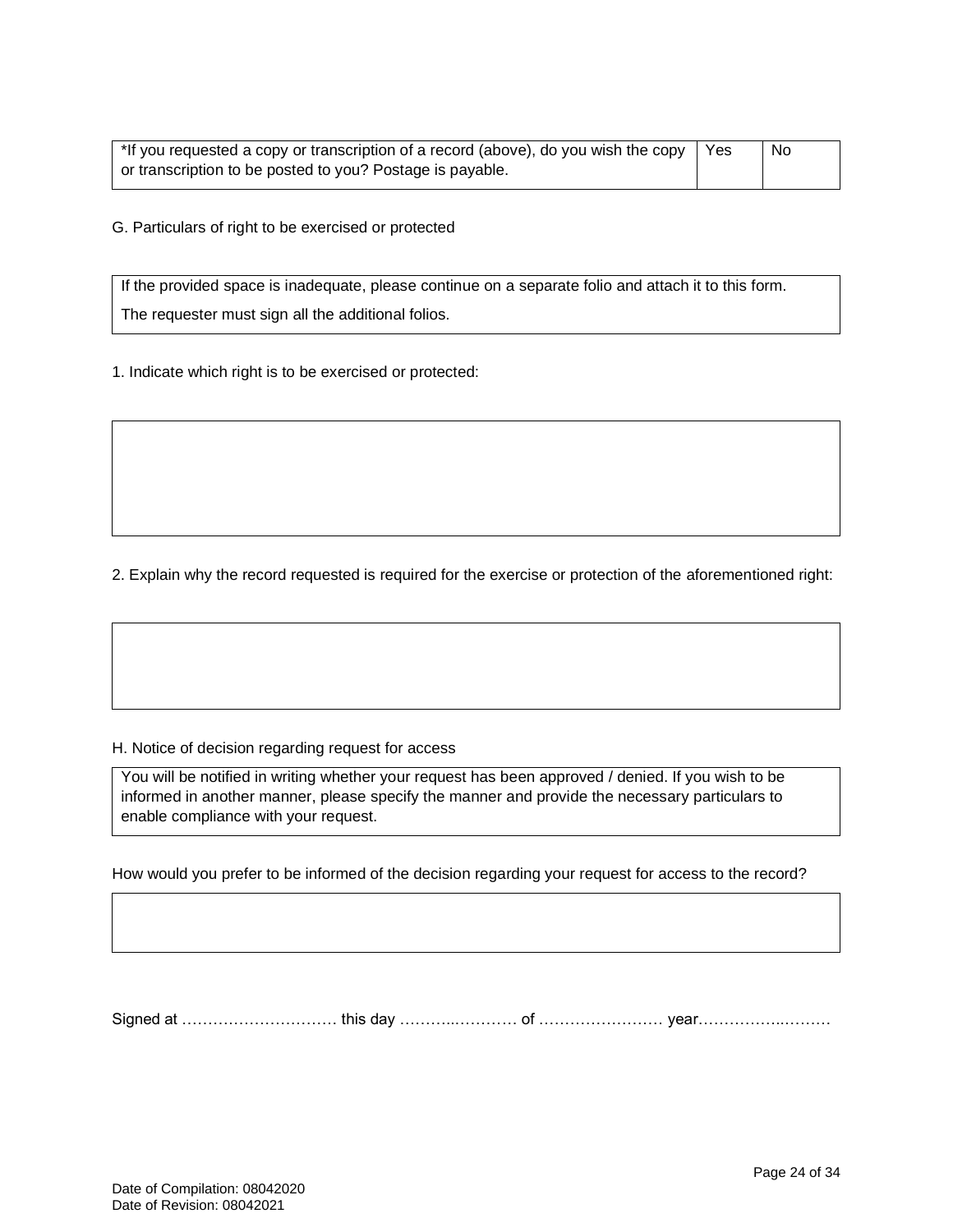| *If you requested a copy or transcription of a record (above), do you wish the copy | Yes | No |
|-------------------------------------------------------------------------------------|-----|----|
| or transcription to be posted to you? Postage is payable.                           |     |    |

G. Particulars of right to be exercised or protected

If the provided space is inadequate, please continue on a separate folio and attach it to this form. The requester must sign all the additional folios.

1. Indicate which right is to be exercised or protected:

2. Explain why the record requested is required for the exercise or protection of the aforementioned right:

#### H. Notice of decision regarding request for access

You will be notified in writing whether your request has been approved / denied. If you wish to be informed in another manner, please specify the manner and provide the necessary particulars to enable compliance with your request.

How would you prefer to be informed of the decision regarding your request for access to the record?

Signed at ………………………… this day ………..………… of …………………… year……………..………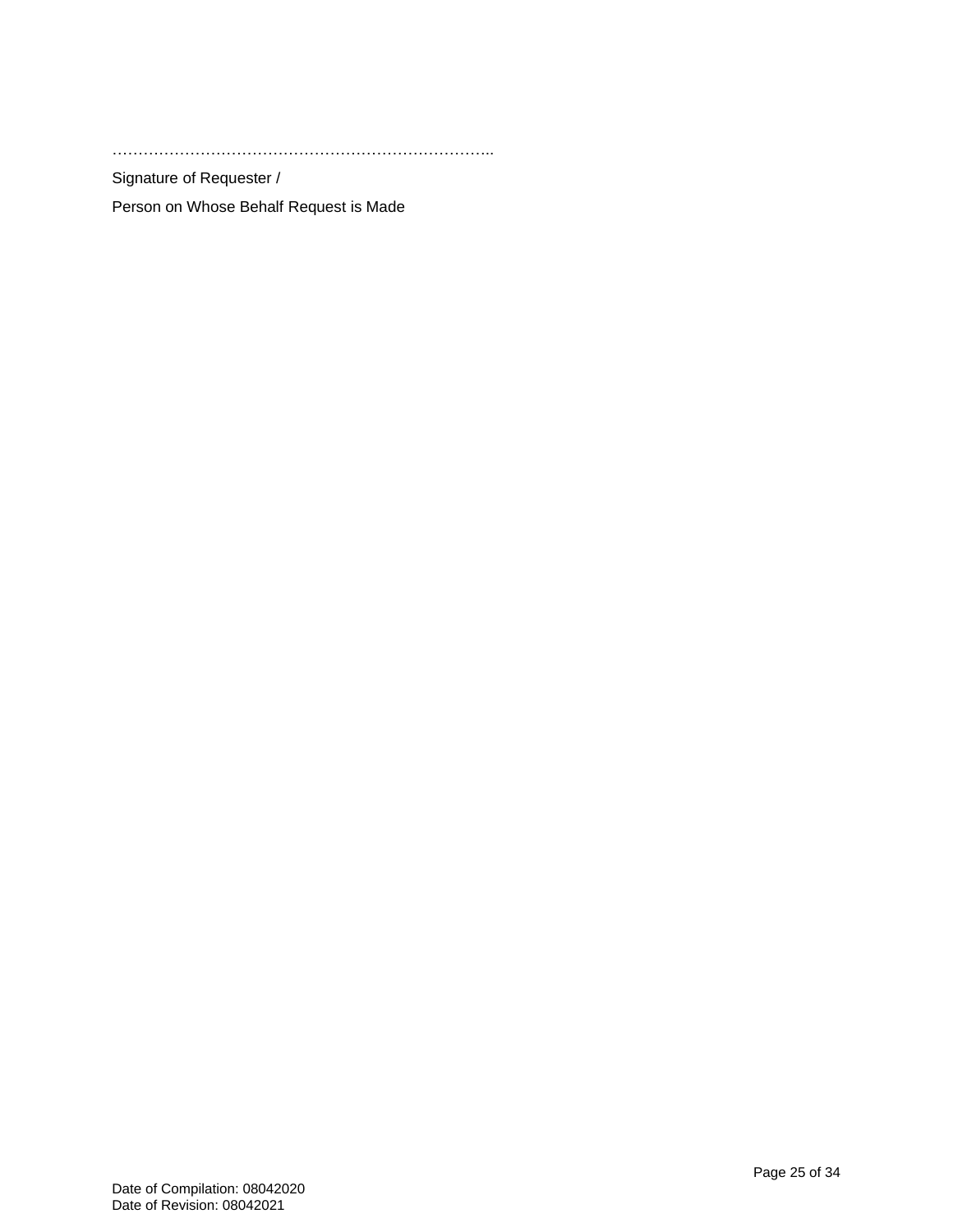………………………………………………………………..

Signature of Requester /

Person on Whose Behalf Request is Made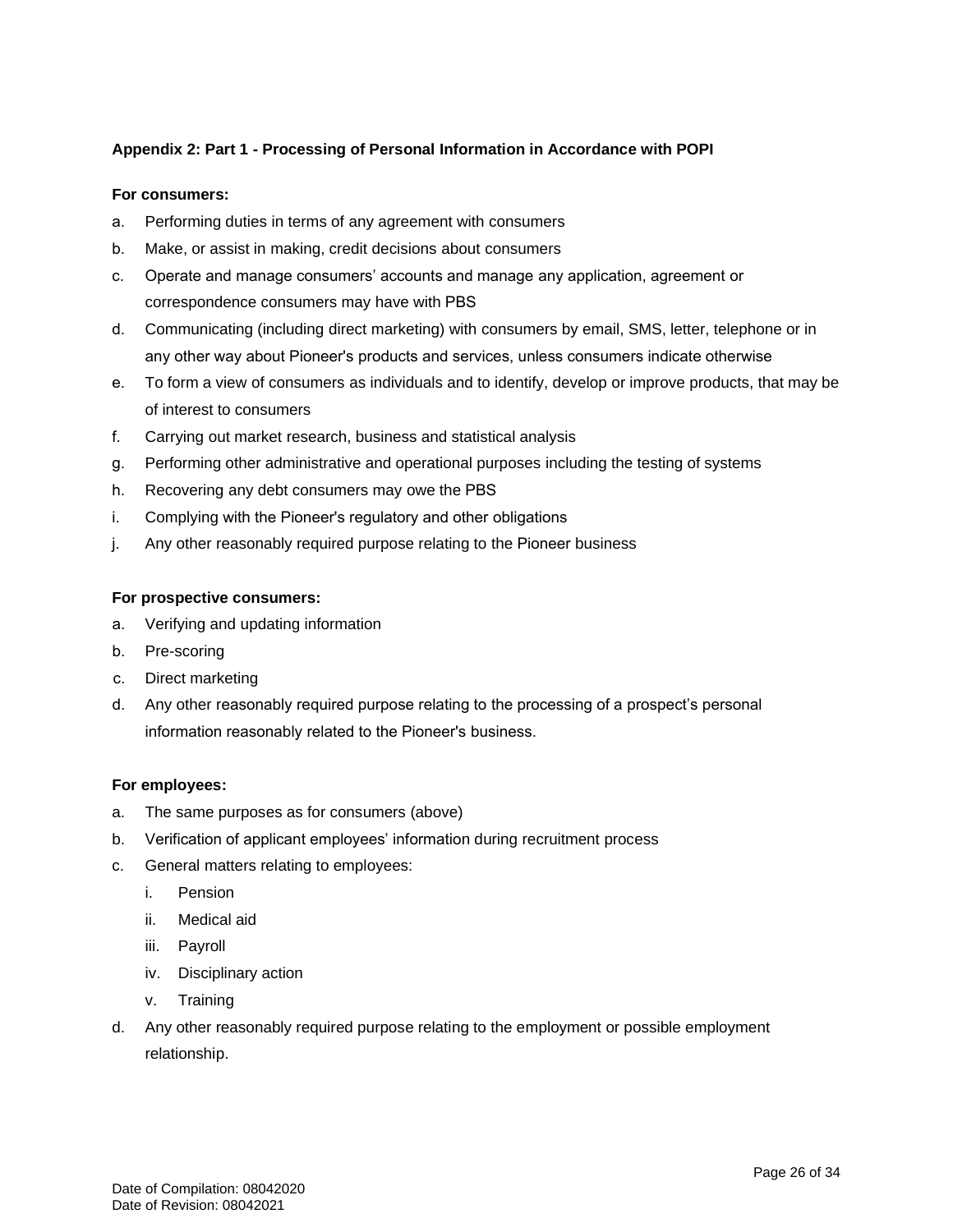### **Appendix 2: Part 1 - Processing of Personal Information in Accordance with POPI**

#### **For consumers:**

- a. Performing duties in terms of any agreement with consumers
- b. Make, or assist in making, credit decisions about consumers
- c. Operate and manage consumers' accounts and manage any application, agreement or correspondence consumers may have with PBS
- d. Communicating (including direct marketing) with consumers by email, SMS, letter, telephone or in any other way about Pioneer's products and services, unless consumers indicate otherwise
- e. To form a view of consumers as individuals and to identify, develop or improve products, that may be of interest to consumers
- f. Carrying out market research, business and statistical analysis
- g. Performing other administrative and operational purposes including the testing of systems
- h. Recovering any debt consumers may owe the PBS
- i. Complying with the Pioneer's regulatory and other obligations
- j. Any other reasonably required purpose relating to the Pioneer business

#### **For prospective consumers:**

- a. Verifying and updating information
- b. Pre-scoring
- c. Direct marketing
- d. Any other reasonably required purpose relating to the processing of a prospect's personal information reasonably related to the Pioneer's business.

#### **For employees:**

- a. The same purposes as for consumers (above)
- b. Verification of applicant employees' information during recruitment process
- c. General matters relating to employees:
	- i. Pension
	- ii. Medical aid
	- iii. Payroll
	- iv. Disciplinary action
	- v. Training
- d. Any other reasonably required purpose relating to the employment or possible employment relationship.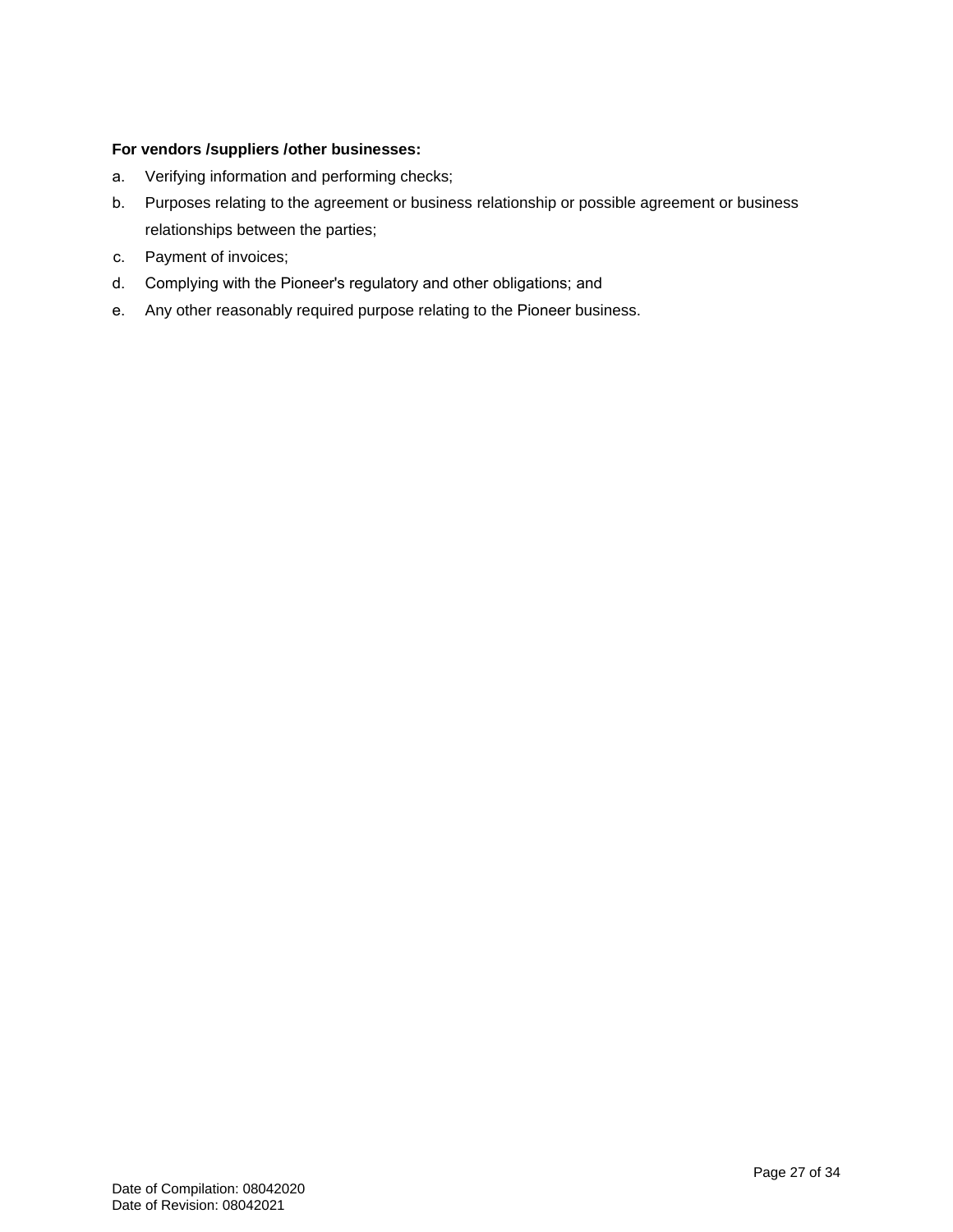#### **For vendors /suppliers /other businesses:**

- a. Verifying information and performing checks;
- b. Purposes relating to the agreement or business relationship or possible agreement or business relationships between the parties;
- c. Payment of invoices;
- d. Complying with the Pioneer's regulatory and other obligations; and
- e. Any other reasonably required purpose relating to the Pioneer business.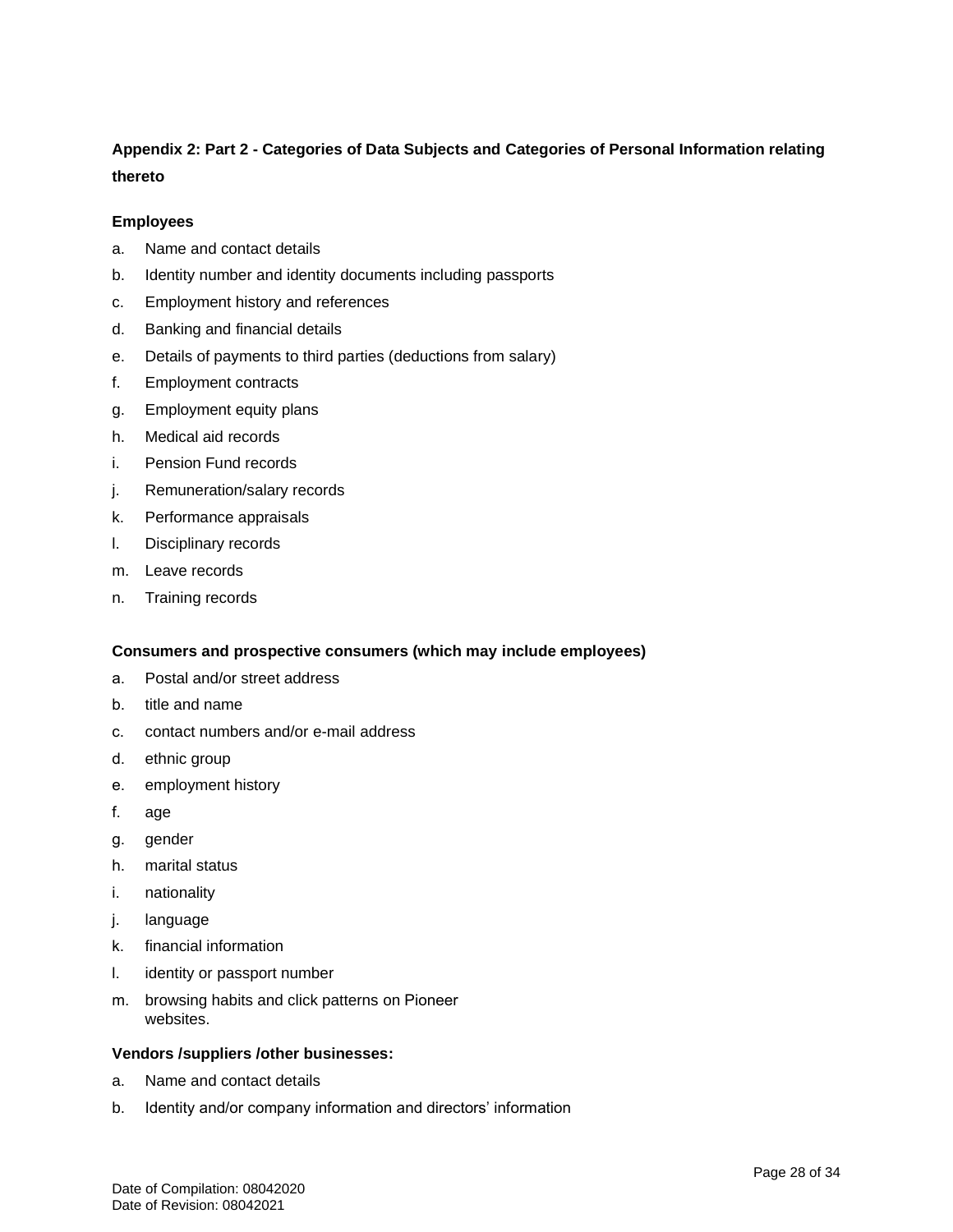# **Appendix 2: Part 2 - Categories of Data Subjects and Categories of Personal Information relating thereto**

#### **Employees**

- a. Name and contact details
- b. Identity number and identity documents including passports
- c. Employment history and references
- d. Banking and financial details
- e. Details of payments to third parties (deductions from salary)
- f. Employment contracts
- g. Employment equity plans
- h. Medical aid records
- i. Pension Fund records
- j. Remuneration/salary records
- k. Performance appraisals
- l. Disciplinary records
- m. Leave records
- n. Training records

#### **Consumers and prospective consumers (which may include employees)**

- a. Postal and/or street address
- b. title and name
- c. contact numbers and/or e-mail address
- d. ethnic group
- e. employment history
- f. age
- g. gender
- h. marital status
- i. nationality
- j. language
- k. financial information
- l. identity or passport number
- m. browsing habits and click patterns on Pioneer websites.

#### **Vendors /suppliers /other businesses:**

- a. Name and contact details
- b. Identity and/or company information and directors' information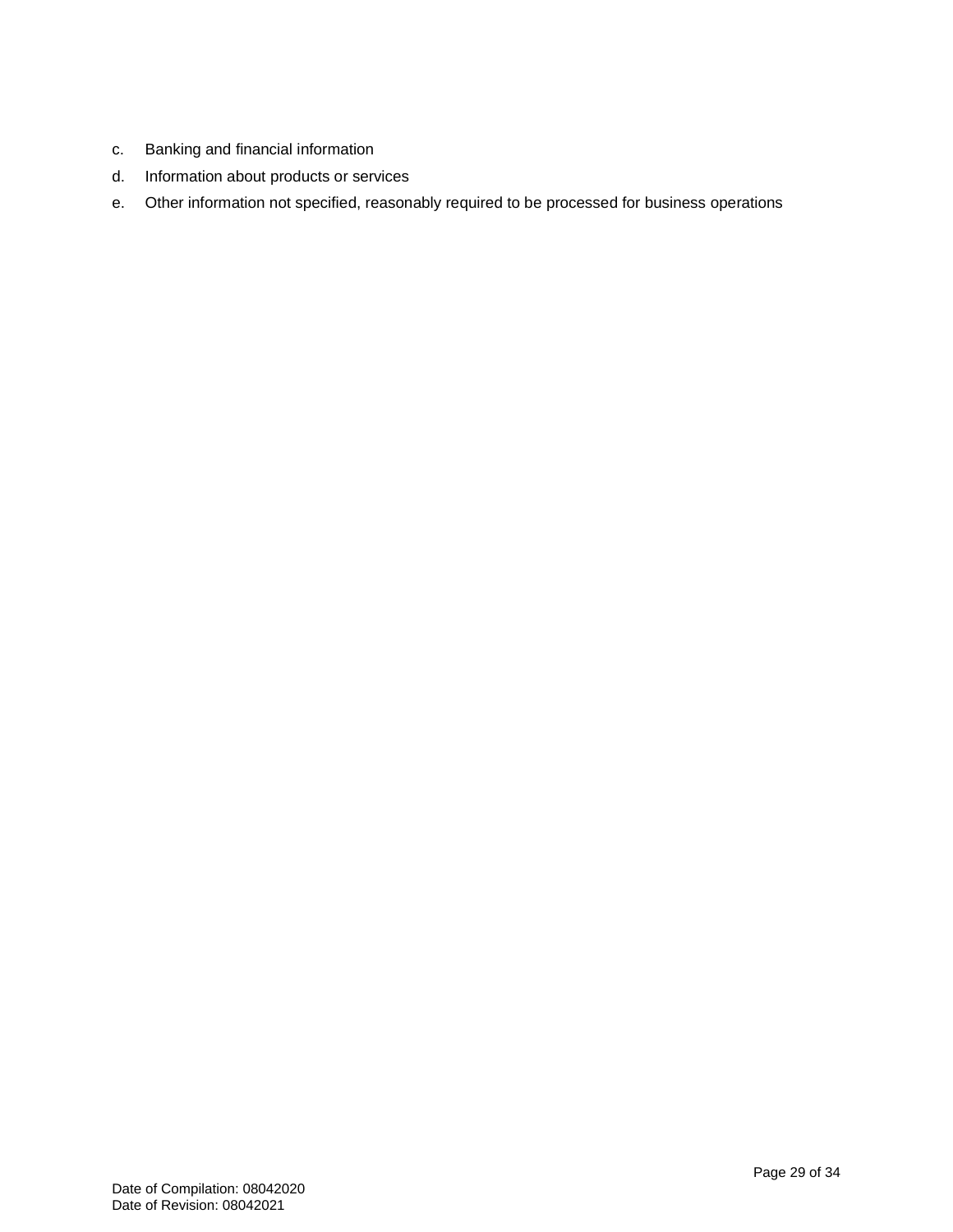- c. Banking and financial information
- d. Information about products or services
- e. Other information not specified, reasonably required to be processed for business operations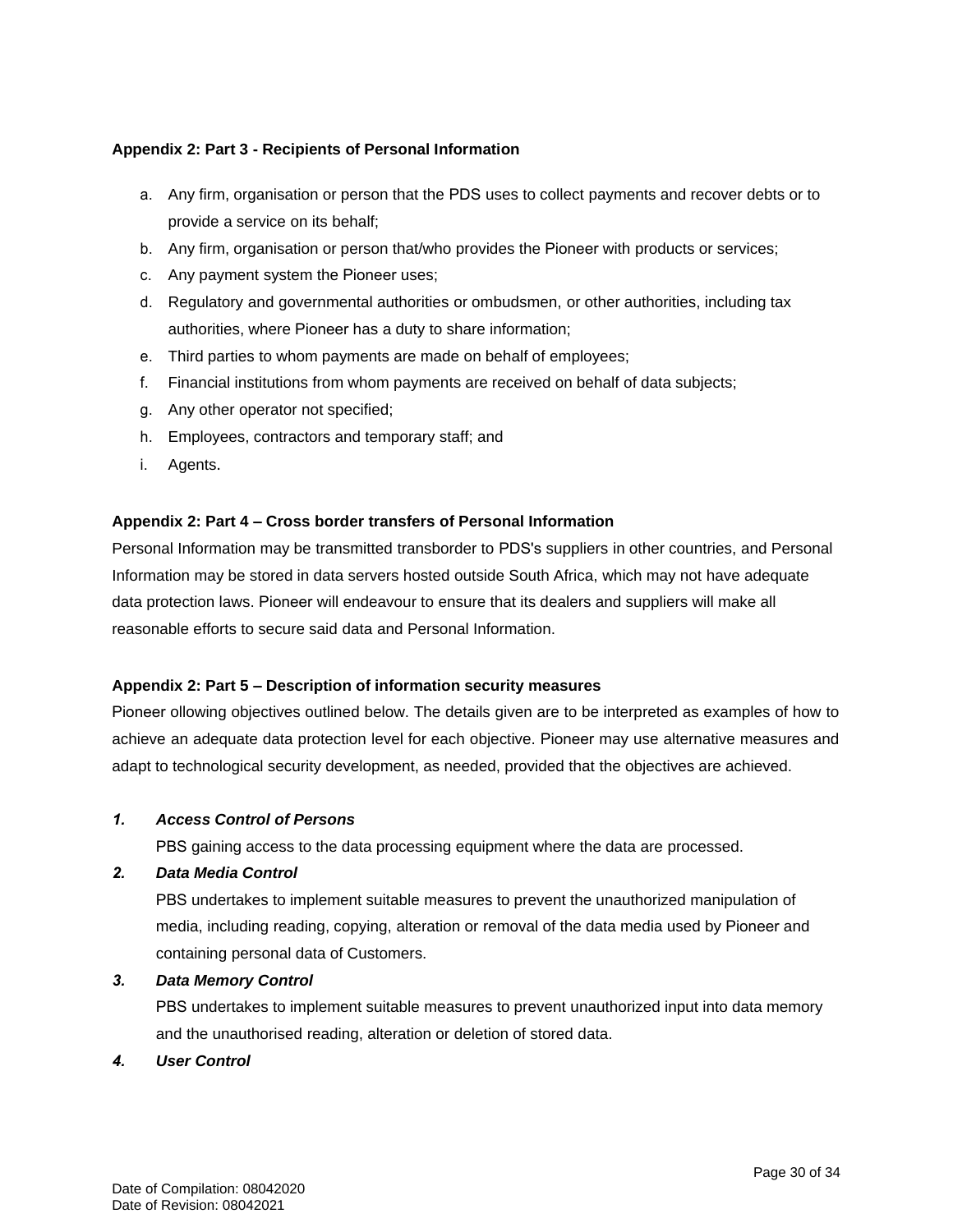#### **Appendix 2: Part 3 - Recipients of Personal Information**

- a. Any firm, organisation or person that the PDS uses to collect payments and recover debts or to provide a service on its behalf;
- b. Any firm, organisation or person that/who provides the Pioneer with products or services;
- c. Any payment system the Pioneer uses;
- d. Regulatory and governmental authorities or ombudsmen, or other authorities, including tax authorities, where Pioneer has a duty to share information;
- e. Third parties to whom payments are made on behalf of employees;
- f. Financial institutions from whom payments are received on behalf of data subjects;
- g. Any other operator not specified;
- h. Employees, contractors and temporary staff; and
- i. Agents.

#### **Appendix 2: Part 4 – Cross border transfers of Personal Information**

Personal Information may be transmitted transborder to PDS's suppliers in other countries, and Personal Information may be stored in data servers hosted outside South Africa, which may not have adequate data protection laws. Pioneer will endeavour to ensure that its dealers and suppliers will make all reasonable efforts to secure said data and Personal Information.

#### **Appendix 2: Part 5 – Description of information security measures**

Pioneer ollowing objectives outlined below. The details given are to be interpreted as examples of how to achieve an adequate data protection level for each objective. Pioneer may use alternative measures and adapt to technological security development, as needed, provided that the objectives are achieved.

#### *1. Access Control of Persons*

PBS gaining access to the data processing equipment where the data are processed.

#### *2. Data Media Control*

PBS undertakes to implement suitable measures to prevent the unauthorized manipulation of media, including reading, copying, alteration or removal of the data media used by Pioneer and containing personal data of Customers.

#### *3. Data Memory Control*

PBS undertakes to implement suitable measures to prevent unauthorized input into data memory and the unauthorised reading, alteration or deletion of stored data.

#### *4. User Control*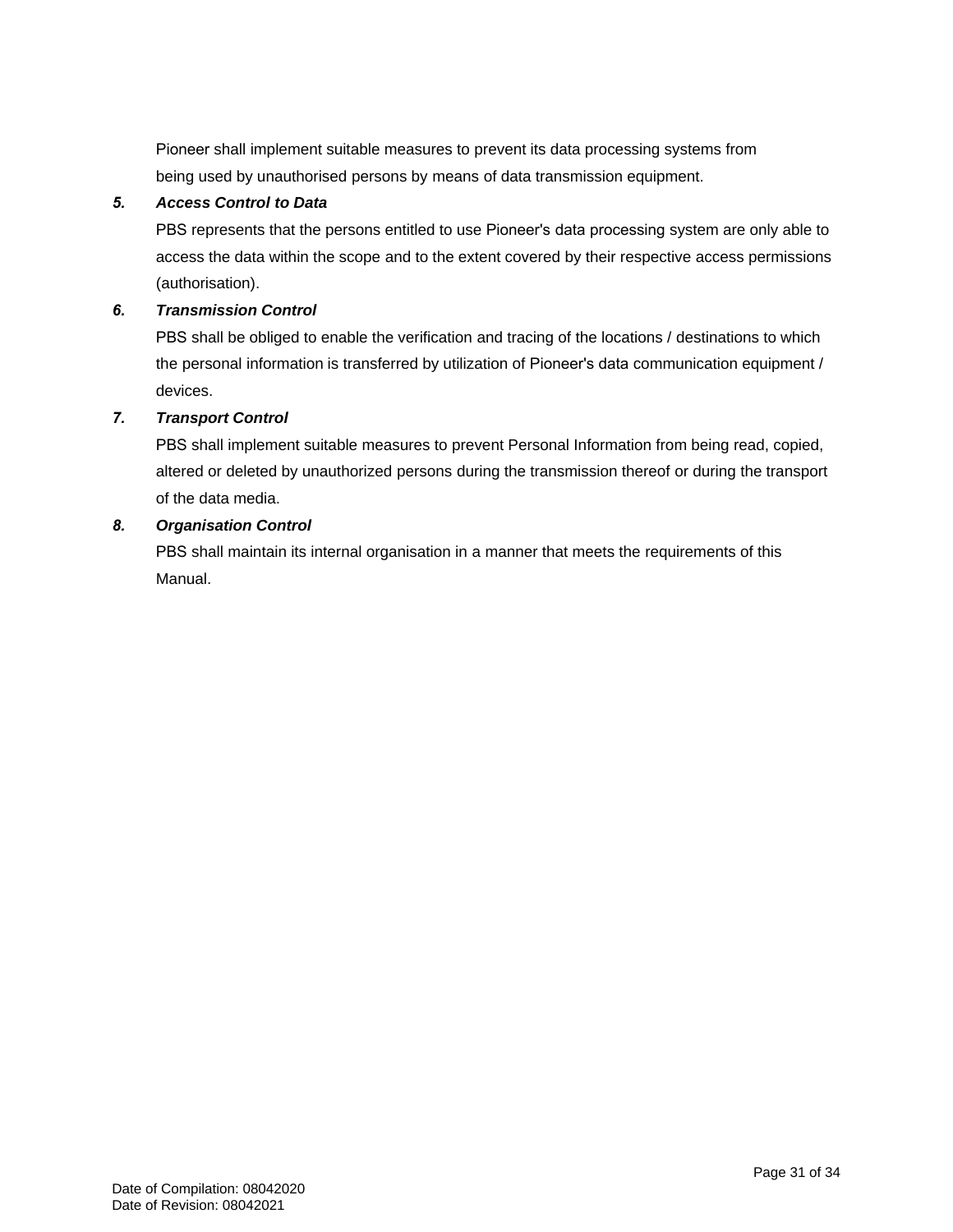Pioneer shall implement suitable measures to prevent its data processing systems from being used by unauthorised persons by means of data transmission equipment.

#### *5. Access Control to Data*

PBS represents that the persons entitled to use Pioneer's data processing system are only able to access the data within the scope and to the extent covered by their respective access permissions (authorisation).

### *6. Transmission Control*

PBS shall be obliged to enable the verification and tracing of the locations / destinations to which the personal information is transferred by utilization of Pioneer's data communication equipment / devices.

### *7. Transport Control*

PBS shall implement suitable measures to prevent Personal Information from being read, copied, altered or deleted by unauthorized persons during the transmission thereof or during the transport of the data media.

### *8. Organisation Control*

PBS shall maintain its internal organisation in a manner that meets the requirements of this Manual.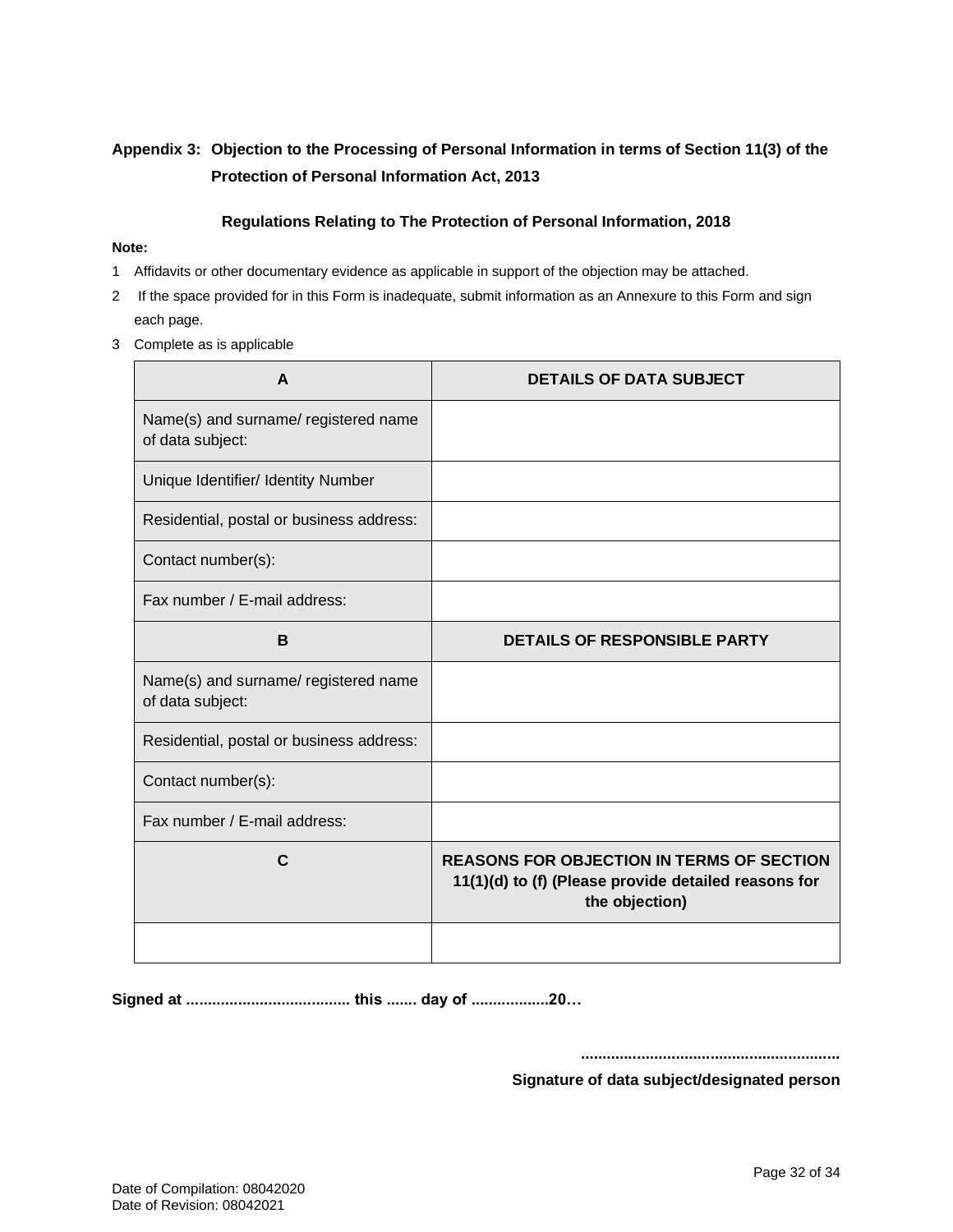# **Appendix 3: Objection to the Processing of Personal Information in terms of Section 11(3) of the Protection of Personal Information Act, 2013**

### **Regulations Relating to The Protection of Personal Information, 2018**

#### **Note:**

- 1 Affidavits or other documentary evidence as applicable in support of the objection may be attached.
- 2 If the space provided for in this Form is inadequate, submit information as an Annexure to this Form and sign each page.
- 3 Complete as is applicable

| A                                                        | <b>DETAILS OF DATA SUBJECT</b>                                                                                             |
|----------------------------------------------------------|----------------------------------------------------------------------------------------------------------------------------|
| Name(s) and surname/ registered name<br>of data subject: |                                                                                                                            |
| Unique Identifier/ Identity Number                       |                                                                                                                            |
| Residential, postal or business address:                 |                                                                                                                            |
| Contact number(s):                                       |                                                                                                                            |
| Fax number / E-mail address:                             |                                                                                                                            |
| B                                                        | <b>DETAILS OF RESPONSIBLE PARTY</b>                                                                                        |
| Name(s) and surname/ registered name<br>of data subject: |                                                                                                                            |
| Residential, postal or business address:                 |                                                                                                                            |
| Contact number(s):                                       |                                                                                                                            |
| Fax number / E-mail address:                             |                                                                                                                            |
| $\mathbf C$                                              | <b>REASONS FOR OBJECTION IN TERMS OF SECTION</b><br>11(1)(d) to (f) (Please provide detailed reasons for<br>the objection) |
|                                                          |                                                                                                                            |

**Signed at ...................................... this ....... day of ..................20…**

**............................................................**

**Signature of data subject/designated person**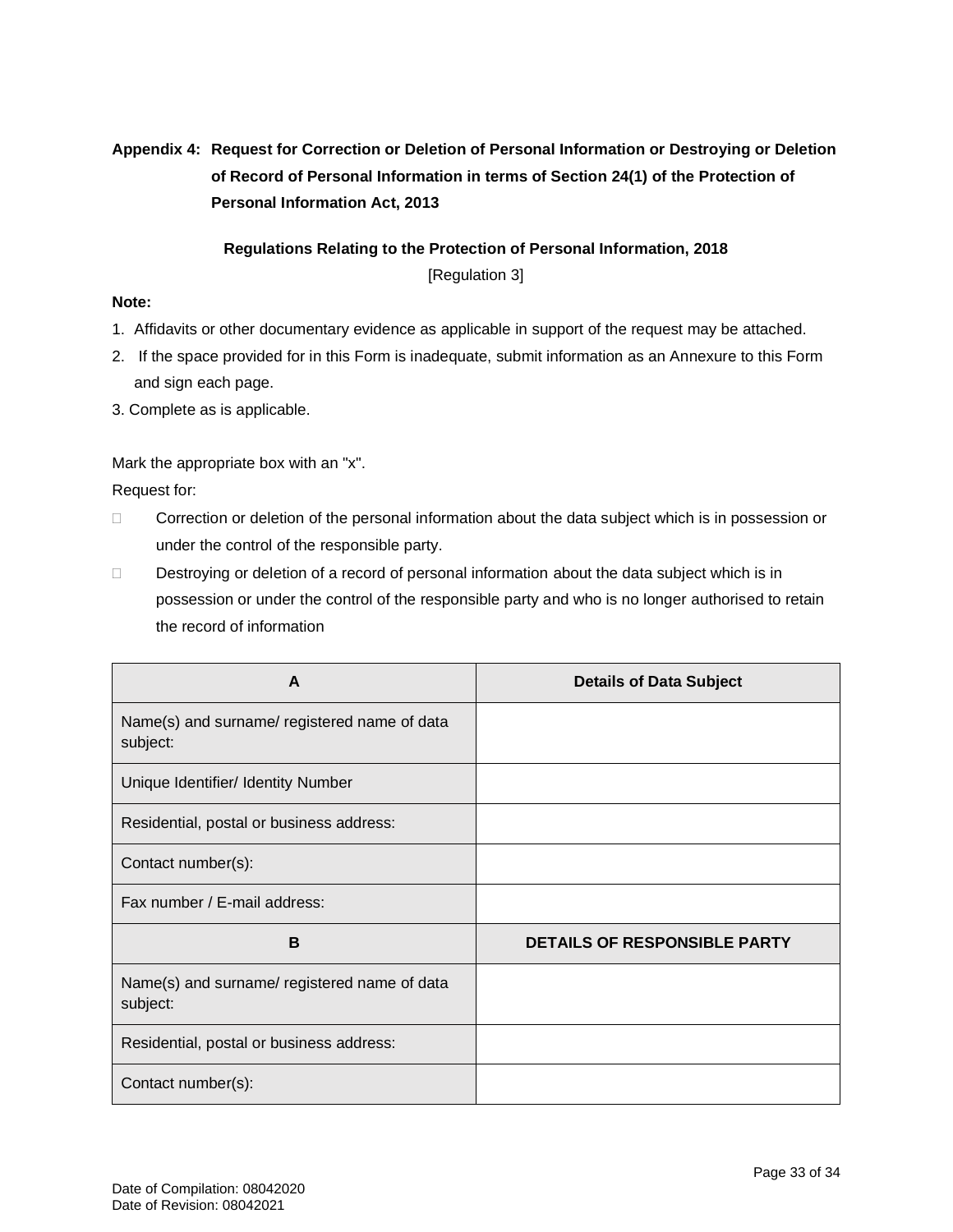# **Appendix 4: Request for Correction or Deletion of Personal Information or Destroying or Deletion of Record of Personal Information in terms of Section 24(1) of the Protection of Personal Information Act, 2013**

# **Regulations Relating to the Protection of Personal Information, 2018**

[Regulation 3]

## **Note:**

- 1. Affidavits or other documentary evidence as applicable in support of the request may be attached.
- 2. If the space provided for in this Form is inadequate, submit information as an Annexure to this Form and sign each page.
- 3. Complete as is applicable.

Mark the appropriate box with an "x".

Request for:

- $\Box$  Correction or deletion of the personal information about the data subject which is in possession or under the control of the responsible party.
- Destroying or deletion of a record of personal information about the data subject which is in possession or under the control of the responsible party and who is no longer authorised to retain the record of information

| A                                                        | <b>Details of Data Subject</b> |
|----------------------------------------------------------|--------------------------------|
| Name(s) and surname/ registered name of data<br>subject: |                                |
| Unique Identifier/ Identity Number                       |                                |
| Residential, postal or business address:                 |                                |
| Contact number(s):                                       |                                |
| Fax number / E-mail address:                             |                                |
| B                                                        | DETAILS OF RESPONSIBLE PARTY   |
| Name(s) and surname/ registered name of data<br>subject: |                                |
| Residential, postal or business address:                 |                                |
| Contact number(s):                                       |                                |